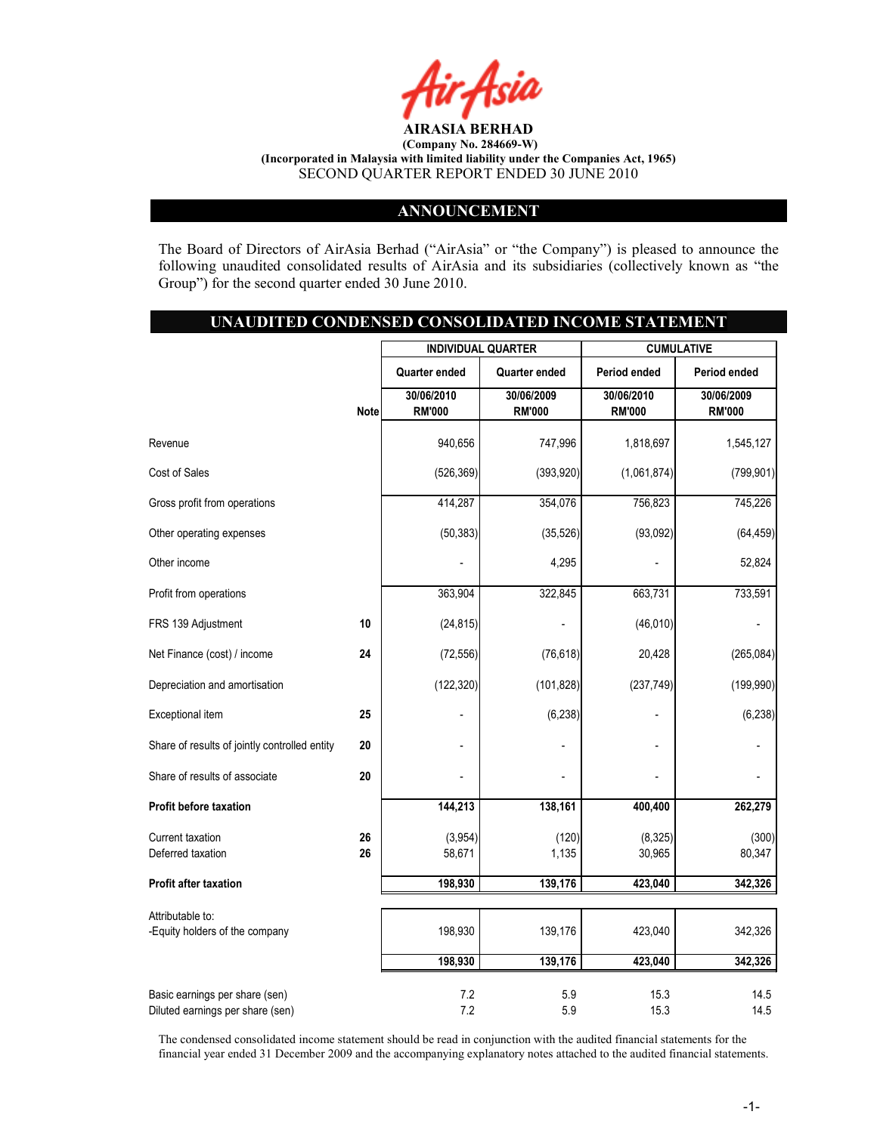

## ANNOUNCEMENT

The Board of Directors of AirAsia Berhad ("AirAsia" or "the Company") is pleased to announce the following unaudited consolidated results of AirAsia and its subsidiaries (collectively known as "the Group") for the second quarter ended 30 June 2010.

## UNAUDITED CONDENSED CONSOLIDATED INCOME STATEMENT

|                                               |             |               | <b>INDIVIDUAL QUARTER</b> |                | <b>CUMULATIVE</b> |
|-----------------------------------------------|-------------|---------------|---------------------------|----------------|-------------------|
|                                               |             | Quarter ended | <b>Quarter ended</b>      | Period ended   | Period ended      |
|                                               |             | 30/06/2010    | 30/06/2009                | 30/06/2010     | 30/06/2009        |
|                                               | <b>Note</b> | <b>RM'000</b> | <b>RM'000</b>             | <b>RM'000</b>  | <b>RM'000</b>     |
| Revenue                                       |             | 940,656       | 747,996                   | 1,818,697      | 1,545,127         |
| Cost of Sales                                 |             | (526, 369)    | (393, 920)                | (1,061,874)    | (799, 901)        |
| Gross profit from operations                  |             | 414,287       | 354,076                   | 756,823        | 745,226           |
| Other operating expenses                      |             | (50, 383)     | (35, 526)                 | (93,092)       | (64, 459)         |
| Other income                                  |             |               | 4,295                     |                | 52,824            |
| Profit from operations                        |             | 363,904       | 322,845                   | 663,731        | 733,591           |
| FRS 139 Adjustment                            | 10          | (24, 815)     | $\overline{a}$            | (46, 010)      |                   |
| Net Finance (cost) / income                   | 24          | (72, 556)     | (76, 618)                 | 20,428         | (265, 084)        |
| Depreciation and amortisation                 |             | (122, 320)    | (101, 828)                | (237, 749)     | (199, 990)        |
| Exceptional item                              | 25          |               | (6, 238)                  |                | (6, 238)          |
| Share of results of jointly controlled entity | 20          |               |                           | $\blacksquare$ |                   |
| Share of results of associate                 | 20          |               |                           |                |                   |
| Profit before taxation                        |             | 144,213       | 138,161                   | 400,400        | 262,279           |
| Current taxation                              | 26          | (3,954)       | (120)                     | (8, 325)       | (300)             |
| Deferred taxation                             | 26          | 58,671        | 1,135                     | 30,965         | 80,347            |
| Profit after taxation                         |             | 198,930       | 139,176                   | 423,040        | 342,326           |
| Attributable to:                              |             |               |                           |                |                   |
| -Equity holders of the company                |             | 198,930       | 139,176                   | 423,040        | 342,326           |
|                                               |             | 198,930       | 139,176                   | 423,040        | 342,326           |
| Basic earnings per share (sen)                |             | 7.2           | 5.9                       | 15.3           | 14.5              |
| Diluted earnings per share (sen)              |             | 7.2           | 5.9                       | 15.3           | 14.5              |

The condensed consolidated income statement should be read in conjunction with the audited financial statements for the financial year ended 31 December 2009 and the accompanying explanatory notes attached to the audited financial statements.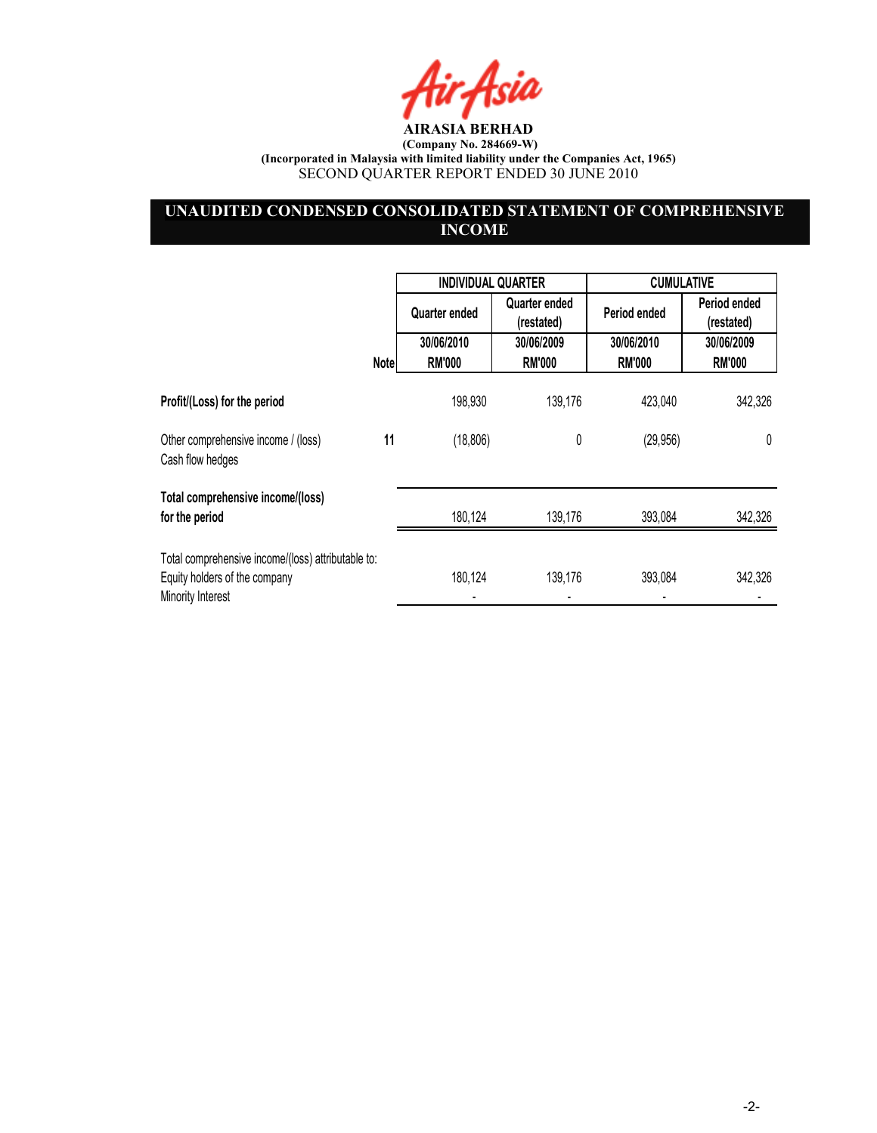Air Asia

# UNAUDITED CONDENSED CONSOLIDATED STATEMENT OF COMPREHENSIVE **INCOME**

|                                                                                                          |             | <b>INDIVIDUAL QUARTER</b> |                             | <b>CUMULATIVE</b> |                            |
|----------------------------------------------------------------------------------------------------------|-------------|---------------------------|-----------------------------|-------------------|----------------------------|
|                                                                                                          |             | Quarter ended             | Quarter ended<br>(restated) | Period ended      | Period ended<br>(restated) |
|                                                                                                          |             | 30/06/2010                | 30/06/2009                  | 30/06/2010        | 30/06/2009                 |
|                                                                                                          | <b>Note</b> | <b>RM'000</b>             | <b>RM'000</b>               | <b>RM'000</b>     | <b>RM'000</b>              |
| Profit/(Loss) for the period                                                                             |             | 198,930                   | 139,176                     | 423,040           | 342,326                    |
| Other comprehensive income / (loss)<br>Cash flow hedges                                                  | 11          | (18, 806)                 | 0                           | (29, 956)         | 0                          |
| Total comprehensive income/(loss)<br>for the period                                                      |             | 180,124                   | 139,176                     | 393,084           | 342,326                    |
| Total comprehensive income/(loss) attributable to:<br>Equity holders of the company<br>Minority Interest |             | 180,124                   | 139,176                     | 393,084           | 342,326                    |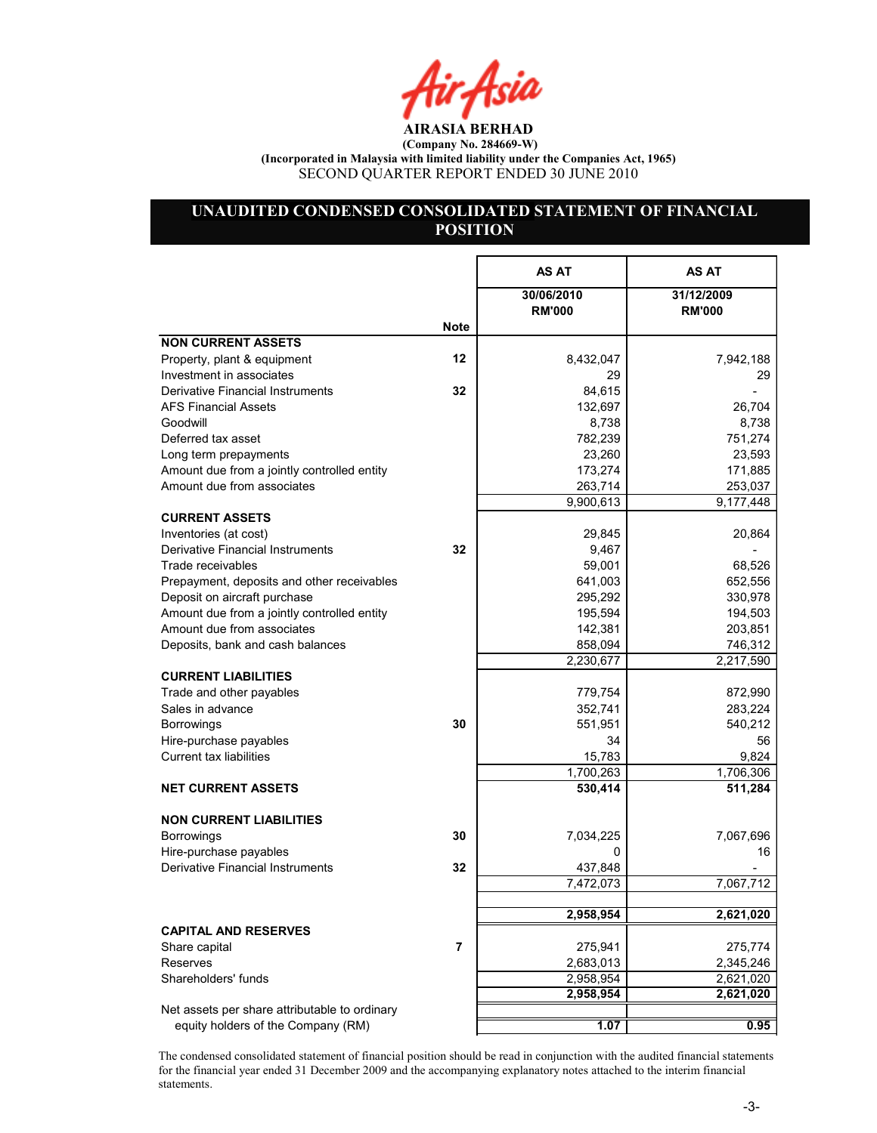Air Asia

# UNAUDITED CONDENSED CONSOLIDATED STATEMENT OF FINANCIAL **POSITION**

|                                               |      | AS AT                       | AS AT                       |
|-----------------------------------------------|------|-----------------------------|-----------------------------|
|                                               |      | 30/06/2010<br><b>RM'000</b> | 31/12/2009<br><b>RM'000</b> |
|                                               | Note |                             |                             |
| <b>NON CURRENT ASSETS</b>                     |      |                             |                             |
| Property, plant & equipment                   | 12   | 8,432,047                   | 7,942,188                   |
| Investment in associates                      |      | 29                          | 29                          |
| <b>Derivative Financial Instruments</b>       | 32   | 84,615                      |                             |
| <b>AFS Financial Assets</b>                   |      | 132,697                     | 26,704                      |
| Goodwill                                      |      | 8,738                       | 8,738                       |
| Deferred tax asset                            |      | 782,239                     | 751,274                     |
| Long term prepayments                         |      | 23,260                      | 23,593                      |
| Amount due from a jointly controlled entity   |      | 173,274                     | 171,885                     |
| Amount due from associates                    |      | 263,714                     | 253,037                     |
|                                               |      | 9,900,613                   | 9,177,448                   |
| <b>CURRENT ASSETS</b>                         |      |                             |                             |
| Inventories (at cost)                         |      | 29,845                      | 20,864                      |
| Derivative Financial Instruments              | 32   | 9,467                       |                             |
| Trade receivables                             |      | 59,001                      | 68,526                      |
| Prepayment, deposits and other receivables    |      | 641,003                     | 652,556                     |
| Deposit on aircraft purchase                  |      | 295,292                     | 330,978                     |
| Amount due from a jointly controlled entity   |      | 195,594                     | 194,503                     |
| Amount due from associates                    |      | 142,381                     | 203,851                     |
| Deposits, bank and cash balances              |      | 858,094                     | 746,312                     |
|                                               |      | 2,230,677                   | 2,217,590                   |
| <b>CURRENT LIABILITIES</b>                    |      |                             |                             |
| Trade and other payables                      |      | 779,754                     | 872,990                     |
| Sales in advance                              |      | 352,741                     | 283,224                     |
| <b>Borrowings</b>                             | 30   | 551,951                     | 540,212                     |
| Hire-purchase payables                        |      | 34                          | 56                          |
| Current tax liabilities                       |      | 15,783                      | 9,824                       |
|                                               |      | 1,700,263                   | 1,706,306                   |
| <b>NET CURRENT ASSETS</b>                     |      | 530,414                     | 511,284                     |
| <b>NON CURRENT LIABILITIES</b>                |      |                             |                             |
| <b>Borrowings</b>                             | 30   | 7,034,225                   | 7,067,696                   |
| Hire-purchase payables                        |      | 0                           | 16                          |
| Derivative Financial Instruments              | 32   | 437,848                     |                             |
|                                               |      | 7,472,073                   | 7,067,712                   |
|                                               |      |                             |                             |
|                                               |      | 2,958,954                   | 2,621,020                   |
| <b>CAPITAL AND RESERVES</b>                   |      |                             |                             |
| Share capital                                 | 7    | 275,941                     | 275,774                     |
| Reserves                                      |      | 2,683,013                   | 2,345,246                   |
| Shareholders' funds                           |      | 2,958,954                   | 2,621,020                   |
|                                               |      | 2,958,954                   | 2,621,020                   |
| Net assets per share attributable to ordinary |      |                             |                             |
| equity holders of the Company (RM)            |      | 1.07                        | 0.95                        |

The condensed consolidated statement of financial position should be read in conjunction with the audited financial statements for the financial year ended 31 December 2009 and the accompanying explanatory notes attached to the interim financial statements.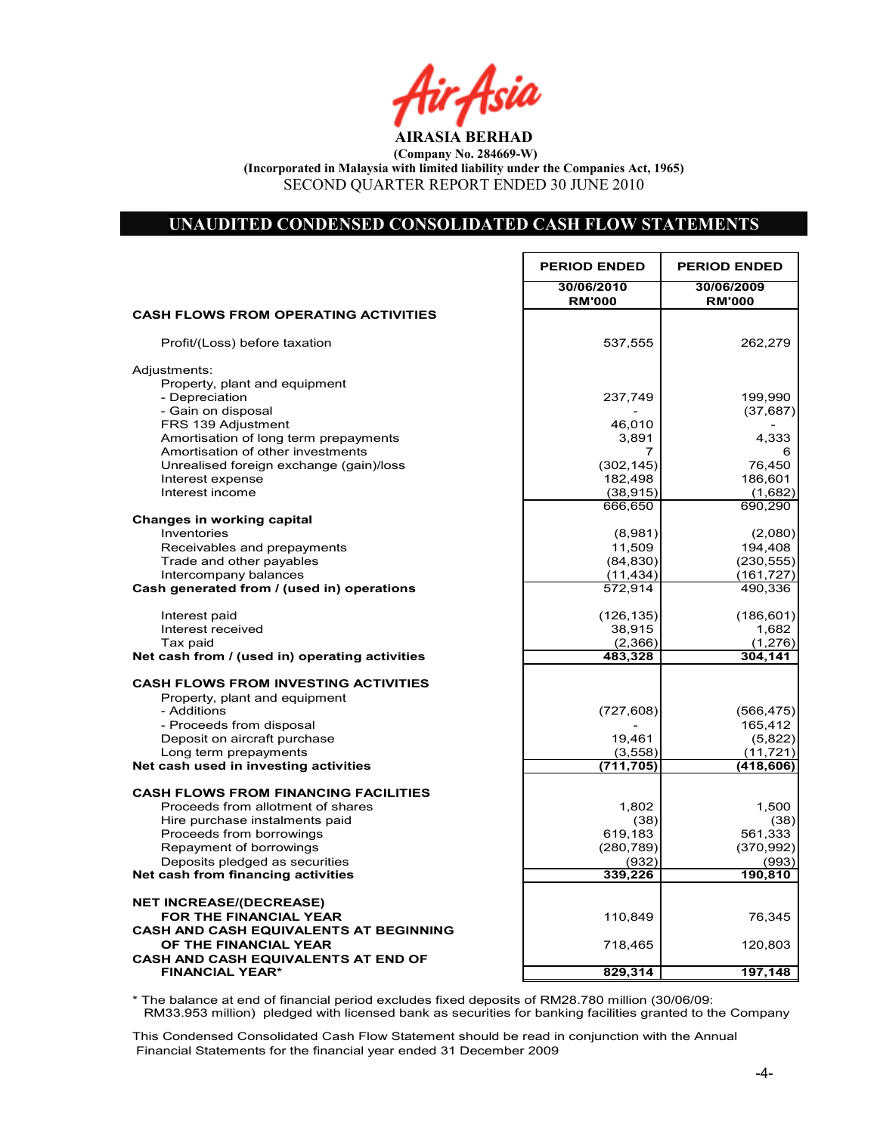r Asia

## UNAUDITED CONDENSED CONSOLIDATED CASH FLOW STATEMENTS

|                                                                            | <b>PERIOD ENDED</b>         | <b>PERIOD ENDED</b>         |
|----------------------------------------------------------------------------|-----------------------------|-----------------------------|
|                                                                            | 30/06/2010<br><b>RM'000</b> | 30/06/2009<br><b>RM'000</b> |
| <b>CASH FLOWS FROM OPERATING ACTIVITIES</b>                                |                             |                             |
| Profit/(Loss) before taxation                                              | 537,555                     | 262,279                     |
| Adjustments:                                                               |                             |                             |
| Property, plant and equipment                                              |                             |                             |
| - Depreciation                                                             | 237,749                     | 199,990                     |
| - Gain on disposal                                                         |                             | (37, 687)                   |
| FRS 139 Adjustment                                                         | 46,010                      |                             |
| Amortisation of long term prepayments<br>Amortisation of other investments | 3,891<br>7                  | 4,333<br>6                  |
| Unrealised foreign exchange (gain)/loss                                    | (302, 145)                  | 76,450                      |
| Interest expense                                                           | 182,498                     | 186,601                     |
| Interest income                                                            | (38, 915)                   | (1,682)                     |
|                                                                            | 666,650                     | 690,290                     |
| Changes in working capital                                                 |                             |                             |
| Inventories                                                                | (8,981)                     | (2,080)                     |
| Receivables and prepayments                                                | 11,509                      | 194,408                     |
| Trade and other payables                                                   | (84, 830)                   | (230, 555)                  |
| Intercompany balances                                                      | (11, 434)                   | (161, 727)                  |
| Cash generated from / (used in) operations                                 | 572,914                     | 490,336                     |
| Interest paid                                                              | (126, 135)                  | (186, 601)                  |
| Interest received                                                          | 38,915                      | 1,682                       |
| Tax paid                                                                   | (2,366)                     | (1, 276)                    |
| Net cash from / (used in) operating activities                             | 483,328                     | 304,141                     |
| <b>CASH FLOWS FROM INVESTING ACTIVITIES</b>                                |                             |                             |
| Property, plant and equipment                                              |                             |                             |
| - Additions                                                                | (727, 608)                  | (566, 475)                  |
| - Proceeds from disposal                                                   |                             | 165,412                     |
| Deposit on aircraft purchase                                               | 19,461                      | (5,822)                     |
| Long term prepayments                                                      | (3, 558)                    | (11, 721)                   |
| Net cash used in investing activities                                      | (711, 705)                  | (418, 606)                  |
| <b>CASH FLOWS FROM FINANCING FACILITIES</b>                                |                             |                             |
| Proceeds from allotment of shares                                          | 1,802                       | 1,500                       |
| Hire purchase instalments paid                                             | (38)                        | (38)                        |
| Proceeds from borrowings                                                   | 619,183                     | 561,333                     |
| Repayment of borrowings                                                    | (280, 789)                  | (370, 992)                  |
| Deposits pledged as securities                                             | (932)                       | (993)                       |
| Net cash from financing activities                                         | 339,226                     | 190,810                     |
| <b>NET INCREASE/(DECREASE)</b>                                             |                             |                             |
| FOR THE FINANCIAL YEAR                                                     | 110,849                     | 76,345                      |
| <b>CASH AND CASH EQUIVALENTS AT BEGINNING</b>                              |                             |                             |
| OF THE FINANCIAL YEAR                                                      | 718,465                     | 120,803                     |
| <b>CASH AND CASH EQUIVALENTS AT END OF</b>                                 |                             |                             |
| <b>FINANCIAL YEAR*</b>                                                     | 829,314                     | 197,148                     |

Net Cash Flow 76,345 110,345 110,345 110,345 110,345 110,345 110,345 110,349 110,349 110,349 110,345 110,349 1 \* The balance at end of financial period excludes fixed deposits of RM28.780 million (30/06/09: RM33.953 million) pledged with licensed bank as securities for banking facilities granted to the Company

This Condensed Consolidated Cash Flow Statement should be read in conjunction with the Annual Financial Statements for the financial year ended 31 December 2009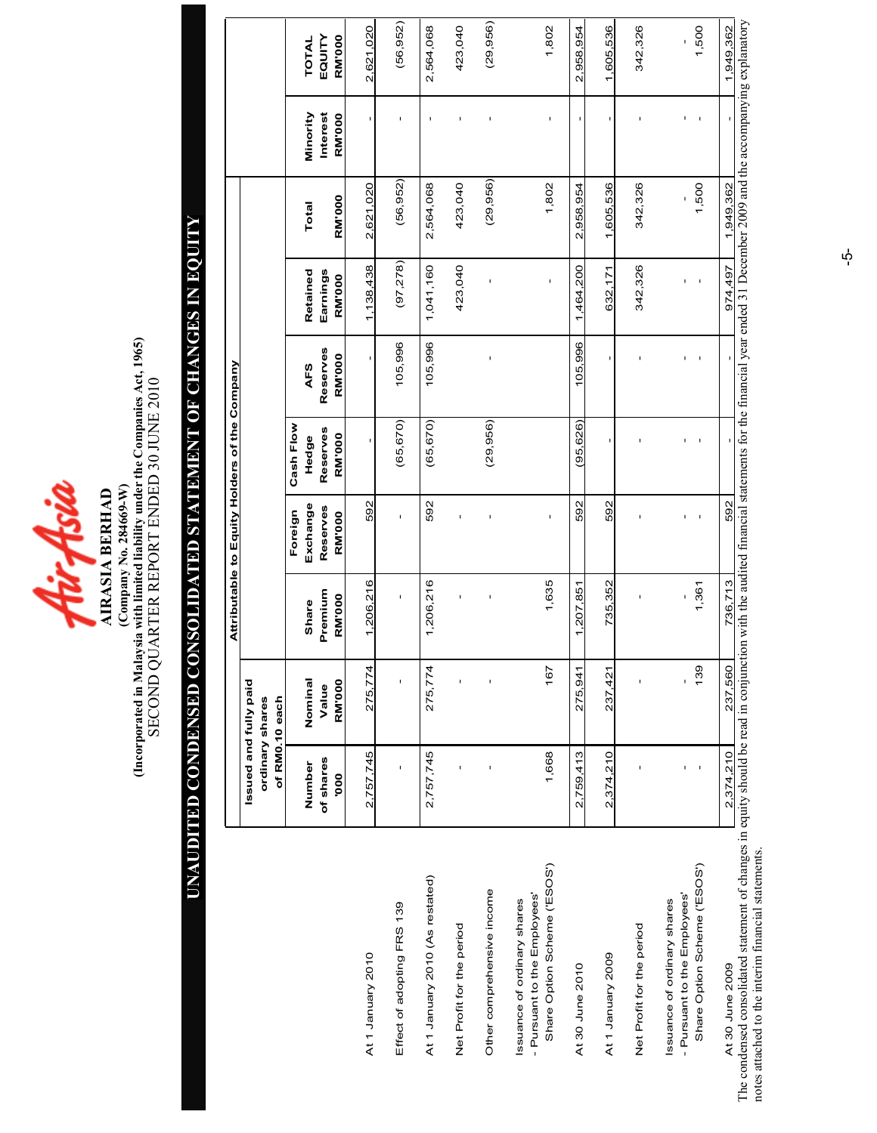

(Incorporated in Malaysia with limited liability under the Companies Act, 1965)<br>SECOND QUARTER REPORT ENDED 30 JUNE 2010 (Incorporated in Malaysia with limited liability under the Companies Act, 1965) SECOND QUARTER REPORT ENDED 30 JUNE 2010  $(Company No. 284669-W)$ (Company o. 284669-W) **AIRASIA BERHAD** AIRASIA BERHAD

# UAUDITED CODESED COSOLIDATED STATEMET OF CHAGES I EQUITY UNAUDITED CONDENSED CONSOLIDATED STATEMENT OF CHANGES IN EQUITY

|                                                                                                      |                                   |                  |                  | Attributable to Equity Holders of the Company |                   |                 |                      |                                                                                                                                     |                      |                        |
|------------------------------------------------------------------------------------------------------|-----------------------------------|------------------|------------------|-----------------------------------------------|-------------------|-----------------|----------------------|-------------------------------------------------------------------------------------------------------------------------------------|----------------------|------------------------|
|                                                                                                      | Issued and fully paid             |                  |                  |                                               |                   |                 |                      |                                                                                                                                     |                      |                        |
|                                                                                                      | ordinary shares<br>of RM0.10 each |                  |                  |                                               |                   |                 |                      |                                                                                                                                     |                      |                        |
|                                                                                                      |                                   |                  |                  | Foreign                                       | Cash Flow         |                 |                      |                                                                                                                                     |                      |                        |
|                                                                                                      | of shares<br>Number               | Nominal<br>Value | Premium<br>Share | Exchange<br>Reserves                          | Reserves<br>Hedge | Reserves<br>AFS | Earnings<br>Retained | Total                                                                                                                               | Interest<br>Minority | EQUITY<br><b>TOTAL</b> |
|                                                                                                      | 000.                              | <b>RM'000</b>    | <b>RM'000</b>    | <b>RM'000</b>                                 | <b>RM'000</b>     | <b>RM'000</b>   | <b>RM'000</b>        | <b>RM'000</b>                                                                                                                       | <b>RM'000</b>        | RM'000                 |
| At 1 January 2010                                                                                    | 2,757,745                         | 275,774          | 1,206,216        | 592                                           |                   |                 | 1,138,438            | 2,621,020                                                                                                                           |                      | 2,621,020              |
| Effect of adopting FRS 139                                                                           |                                   |                  |                  |                                               | (65, 670)         | 105,996         | (97, 278)            | (56, 952)                                                                                                                           |                      | (56, 952)              |
| At 1 January 2010 (As restated)                                                                      | 2,757,745                         | 275,774          | 1,206,216        | 592                                           | (65, 670)         | 105,996         | 1,041,160            | 2,564,068                                                                                                                           | $\mathbf{I}$         | 2,564,068              |
| Net Profit for the period                                                                            |                                   |                  | t                | ı                                             |                   |                 | 423,040              | 423,040                                                                                                                             |                      | 423,040                |
| Other comprehensive income                                                                           |                                   |                  | I                | I,                                            | (29, 956)         | I               | ı                    | (29, 956)                                                                                                                           |                      | (29, 956)              |
| Share Option Scheme ('ESOS')<br>- Pursuant to the Employees'<br>Issuance of ordinary shares          | 1,668                             | 167              | 1,635            | $\mathbf{I}$                                  |                   |                 | ı                    | 1,802                                                                                                                               |                      | 1,802                  |
| At 30 June 2010                                                                                      | 2,759,413                         | 275,941          | 1,207,851        | 592                                           | (95, 626)         | 105.996         | 1,464,200            | 2,958,954                                                                                                                           |                      | 2,958,954              |
| At 1 January 2009                                                                                    | 2,374,210                         | 237,421          | 735,352          | 592                                           | ı                 |                 | 632,171              | 1,605,536                                                                                                                           |                      | 1,605,536              |
| Net Profit for the period                                                                            |                                   | ı                |                  |                                               |                   |                 | 342,326              | 342,326                                                                                                                             |                      | 342,326                |
| - Pursuant to the Employees'<br>Issuance of ordinary shares                                          |                                   | $\mathsf I$      |                  | $\blacksquare$                                |                   |                 | $\blacksquare$       |                                                                                                                                     |                      | ı                      |
| Share Option Scheme ('ESOS')                                                                         | $\mathbf{I}$                      | 139              | 1,361            | $\sf I$                                       |                   | ı               | ı                    | 1,500                                                                                                                               |                      | 1,500                  |
| rdancad concolidated etatement of changes in equity chould he read in conjunction<br>At 30 June 2009 | 2,374,210                         | 237,560          | 736,713          | 592                                           |                   |                 | 974.497              | on with the oudited financial statements for the financial veer ended 21 December 2000 and the accompaning evolunctors<br>1,949,362 |                      | 1,949,362              |

The condensed consolidated statement of changes in equity should be read in conjunction with the audited financial statements for the financial year ended 31 December 2009 and the accompanying explanatory<br>notes attached to The condensed consolidated statement of changes in equity should be read in conjunction with the audited financial statements for the financial year ended 31 December 2009 and the accompanying explanatory notes attached to the interim financial statements.

 $\vec{\mathsf{p}}$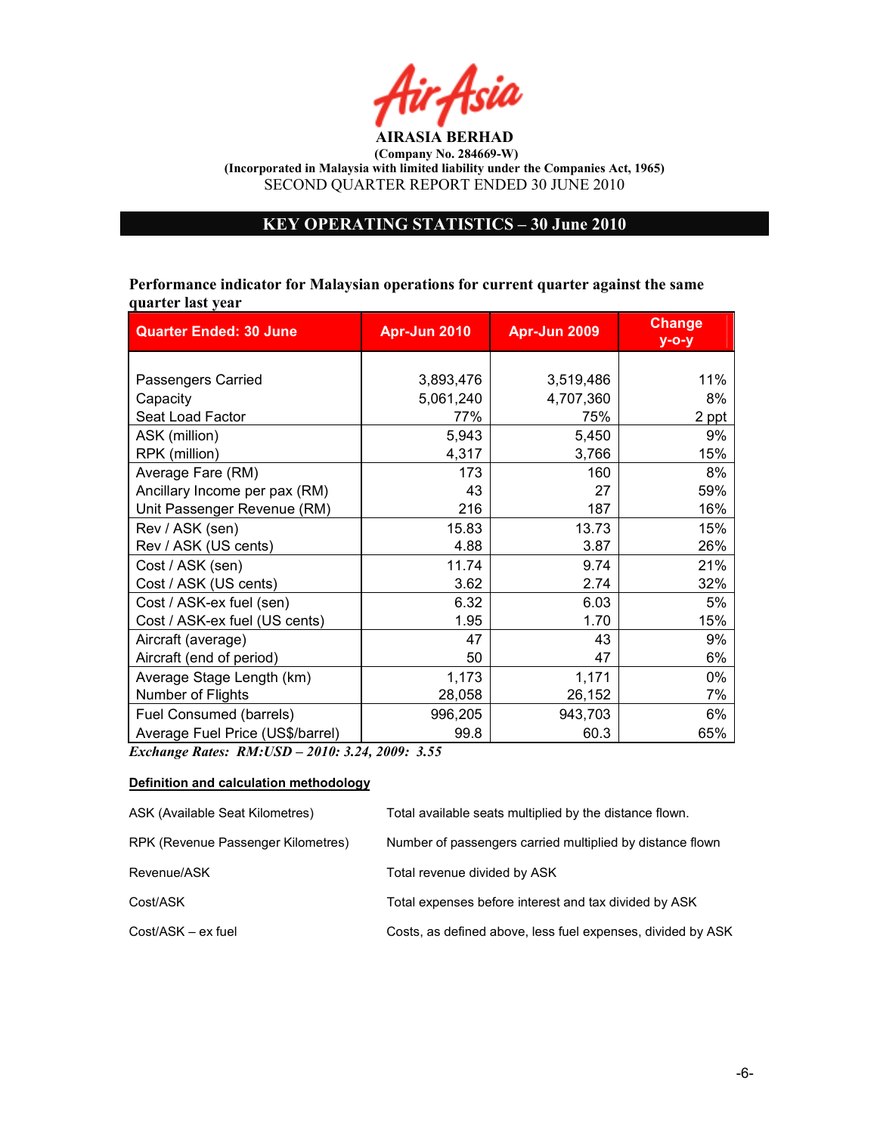

# KEY OPERATIG STATISTICS – 30 June 2010

Performance indicator for Malaysian operations for current quarter against the same quarter last year

| <b>Quarter Ended: 30 June</b>    | Apr-Jun 2010 | Apr-Jun 2009 | <b>Change</b><br>$y$ -o-y |
|----------------------------------|--------------|--------------|---------------------------|
|                                  |              |              |                           |
| Passengers Carried               | 3,893,476    | 3,519,486    | 11%                       |
| Capacity                         | 5,061,240    | 4,707,360    | 8%                        |
| Seat Load Factor                 | 77%          | 75%          | 2 ppt                     |
| ASK (million)                    | 5,943        | 5,450        | 9%                        |
| RPK (million)                    | 4,317        | 3,766        | 15%                       |
| Average Fare (RM)                | 173          | 160          | 8%                        |
| Ancillary Income per pax (RM)    | 43           | 27           | 59%                       |
| Unit Passenger Revenue (RM)      | 216          | 187          | 16%                       |
| Rev / ASK (sen)                  | 15.83        | 13.73        | 15%                       |
| Rev / ASK (US cents)             | 4.88         | 3.87         | 26%                       |
| Cost / ASK (sen)                 | 11.74        | 9.74         | 21%                       |
| Cost / ASK (US cents)            | 3.62         | 2.74         | 32%                       |
| Cost / ASK-ex fuel (sen)         | 6.32         | 6.03         | 5%                        |
| Cost / ASK-ex fuel (US cents)    | 1.95         | 1.70         | 15%                       |
| Aircraft (average)               | 47           | 43           | 9%                        |
| Aircraft (end of period)         | 50           | 47           | 6%                        |
| Average Stage Length (km)        | 1,173        | 1,171        | 0%                        |
| Number of Flights                | 28,058       | 26,152       | 7%                        |
| Fuel Consumed (barrels)          | 996,205      | 943,703      | 6%                        |
| Average Fuel Price (US\$/barrel) | 99.8         | 60.3         | 65%                       |

Exchange Rates: RM:USD – 2010: 3.24, 2009: 3.55

## Definition and calculation methodology

| ASK (Available Seat Kilometres)    | Total available seats multiplied by the distance flown.     |
|------------------------------------|-------------------------------------------------------------|
| RPK (Revenue Passenger Kilometres) | Number of passengers carried multiplied by distance flown   |
| Revenue/ASK                        | Total revenue divided by ASK                                |
| Cost/ASK                           | Total expenses before interest and tax divided by ASK       |
| Cost/ASK – ex fuel                 | Costs, as defined above, less fuel expenses, divided by ASK |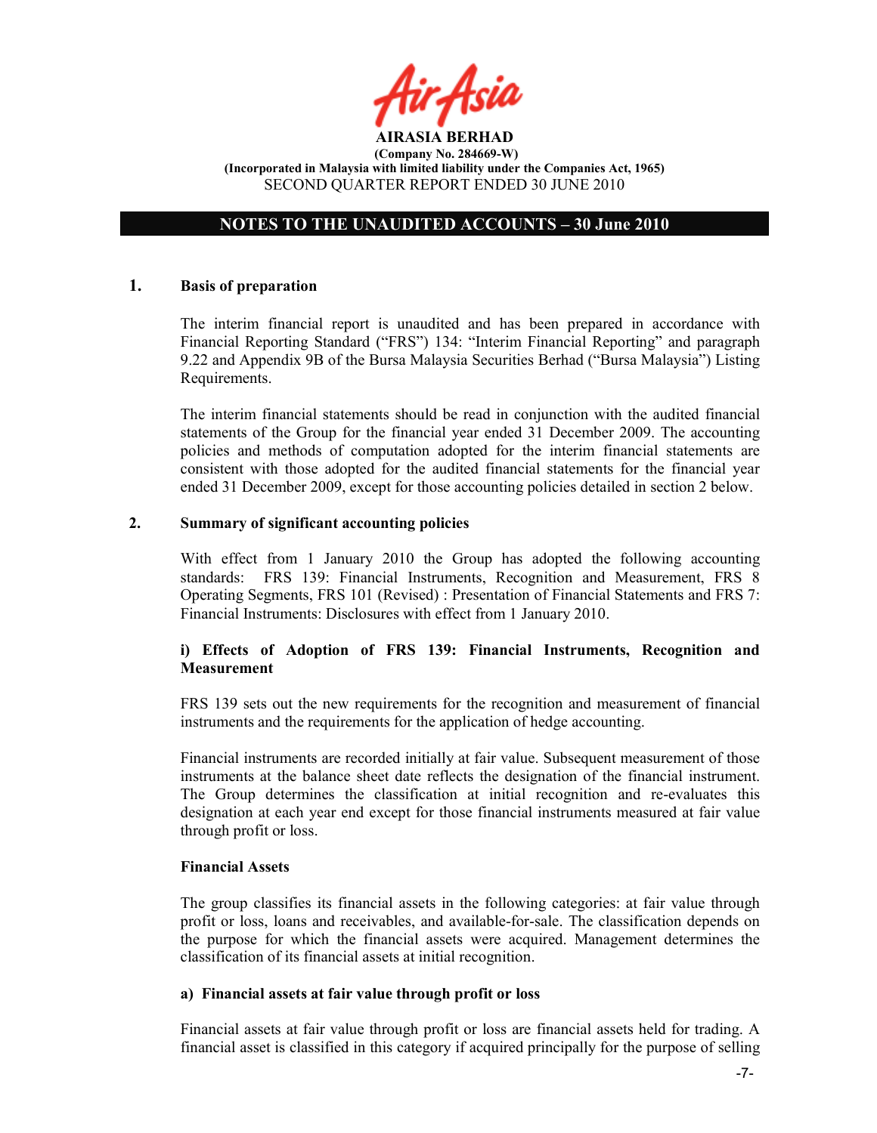

# NOTES TO THE UNAUDITED ACCOUNTS – 30 June 2010

## 1. Basis of preparation

The interim financial report is unaudited and has been prepared in accordance with Financial Reporting Standard ("FRS") 134: "Interim Financial Reporting" and paragraph 9.22 and Appendix 9B of the Bursa Malaysia Securities Berhad ("Bursa Malaysia") Listing Requirements.

The interim financial statements should be read in conjunction with the audited financial statements of the Group for the financial year ended 31 December 2009. The accounting policies and methods of computation adopted for the interim financial statements are consistent with those adopted for the audited financial statements for the financial year ended 31 December 2009, except for those accounting policies detailed in section 2 below.

## 2. Summary of significant accounting policies

With effect from 1 January 2010 the Group has adopted the following accounting standards: FRS 139: Financial Instruments, Recognition and Measurement, FRS 8 Operating Segments, FRS 101 (Revised) : Presentation of Financial Statements and FRS 7: Financial Instruments: Disclosures with effect from 1 January 2010.

## i) Effects of Adoption of FRS 139: Financial Instruments, Recognition and **Measurement**

FRS 139 sets out the new requirements for the recognition and measurement of financial instruments and the requirements for the application of hedge accounting.

Financial instruments are recorded initially at fair value. Subsequent measurement of those instruments at the balance sheet date reflects the designation of the financial instrument. The Group determines the classification at initial recognition and re-evaluates this designation at each year end except for those financial instruments measured at fair value through profit or loss.

## Financial Assets

The group classifies its financial assets in the following categories: at fair value through profit or loss, loans and receivables, and available-for-sale. The classification depends on the purpose for which the financial assets were acquired. Management determines the classification of its financial assets at initial recognition.

## a) Financial assets at fair value through profit or loss

Financial assets at fair value through profit or loss are financial assets held for trading. A financial asset is classified in this category if acquired principally for the purpose of selling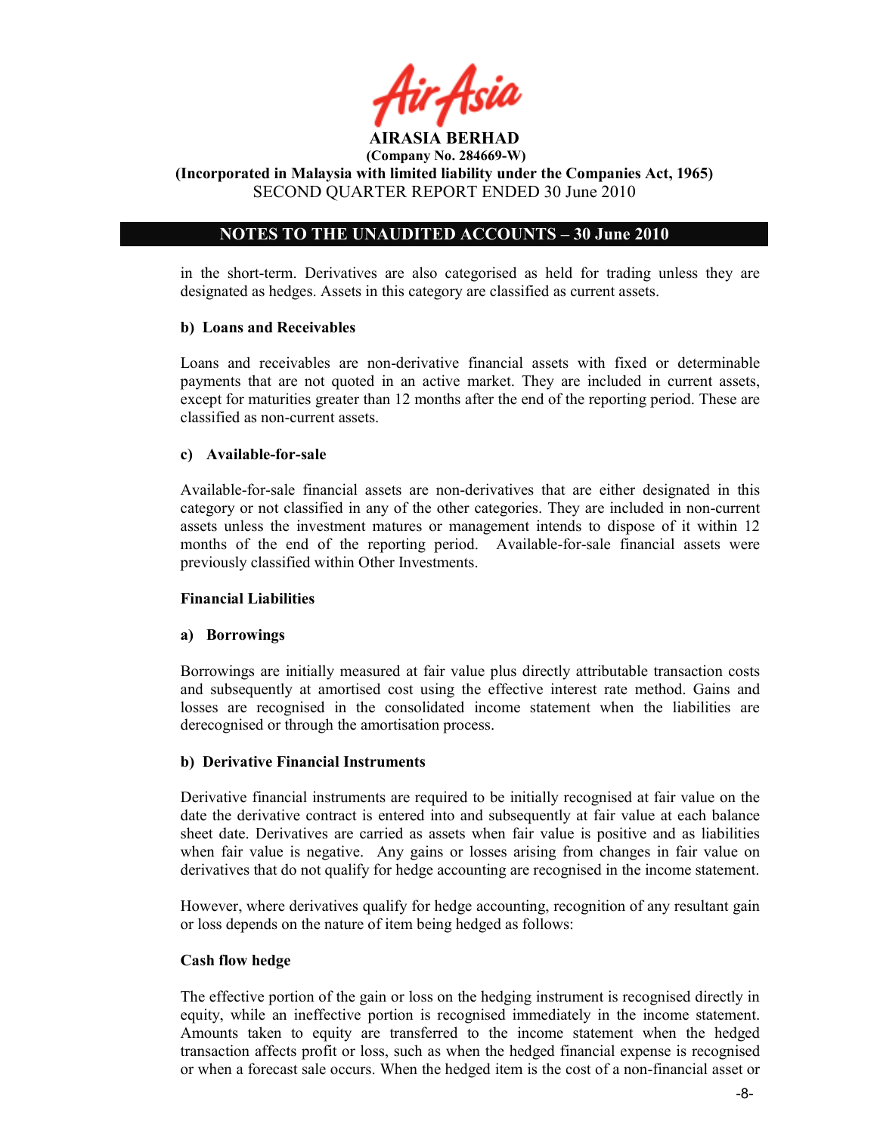

AIRASIA BERHAD (Company No. 284669-W)

(Incorporated in Malaysia with limited liability under the Companies Act, 1965) SECOND QUARTER REPORT ENDED 30 June 2010

# NOTES TO THE UNAUDITED ACCOUNTS – 30 June 2010

in the short-term. Derivatives are also categorised as held for trading unless they are designated as hedges. Assets in this category are classified as current assets.

## b) Loans and Receivables

Loans and receivables are non-derivative financial assets with fixed or determinable payments that are not quoted in an active market. They are included in current assets, except for maturities greater than 12 months after the end of the reporting period. These are classified as non-current assets.

## c) Available-for-sale

Available-for-sale financial assets are non-derivatives that are either designated in this category or not classified in any of the other categories. They are included in non-current assets unless the investment matures or management intends to dispose of it within 12 months of the end of the reporting period. Available-for-sale financial assets were previously classified within Other Investments.

## Financial Liabilities

## a) Borrowings

Borrowings are initially measured at fair value plus directly attributable transaction costs and subsequently at amortised cost using the effective interest rate method. Gains and losses are recognised in the consolidated income statement when the liabilities are derecognised or through the amortisation process.

## b) Derivative Financial Instruments

Derivative financial instruments are required to be initially recognised at fair value on the date the derivative contract is entered into and subsequently at fair value at each balance sheet date. Derivatives are carried as assets when fair value is positive and as liabilities when fair value is negative. Any gains or losses arising from changes in fair value on derivatives that do not qualify for hedge accounting are recognised in the income statement.

However, where derivatives qualify for hedge accounting, recognition of any resultant gain or loss depends on the nature of item being hedged as follows:

## Cash flow hedge

The effective portion of the gain or loss on the hedging instrument is recognised directly in equity, while an ineffective portion is recognised immediately in the income statement. Amounts taken to equity are transferred to the income statement when the hedged transaction affects profit or loss, such as when the hedged financial expense is recognised or when a forecast sale occurs. When the hedged item is the cost of a non-financial asset or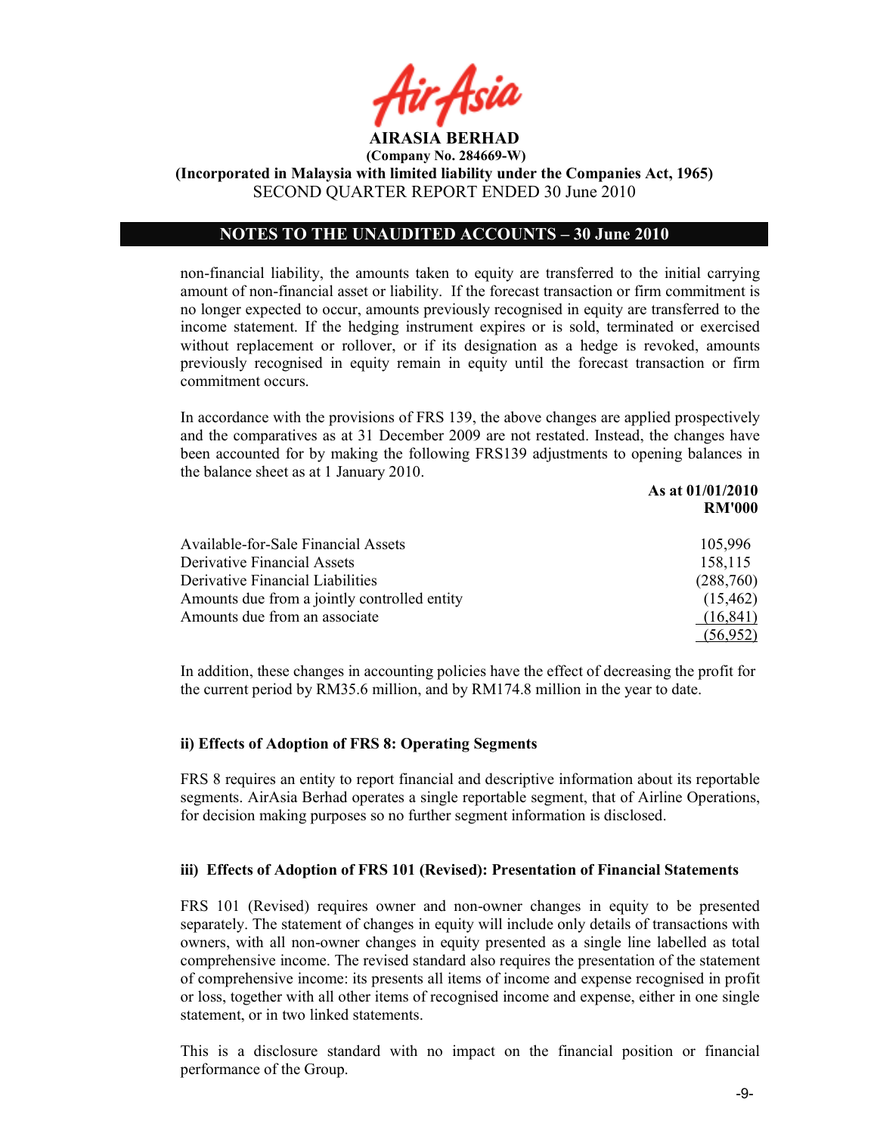

(Company No. 284669-W)

(Incorporated in Malaysia with limited liability under the Companies Act, 1965) SECOND QUARTER REPORT ENDED 30 June 2010

## NOTES TO THE UNAUDITED ACCOUNTS – 30 June 2010

non-financial liability, the amounts taken to equity are transferred to the initial carrying amount of non-financial asset or liability. If the forecast transaction or firm commitment is no longer expected to occur, amounts previously recognised in equity are transferred to the income statement. If the hedging instrument expires or is sold, terminated or exercised without replacement or rollover, or if its designation as a hedge is revoked, amounts previously recognised in equity remain in equity until the forecast transaction or firm commitment occurs.

In accordance with the provisions of FRS 139, the above changes are applied prospectively and the comparatives as at 31 December 2009 are not restated. Instead, the changes have been accounted for by making the following FRS139 adjustments to opening balances in the balance sheet as at 1 January 2010.

|                                              | As at 01/01/2010 |
|----------------------------------------------|------------------|
|                                              | <b>RM'000</b>    |
| Available-for-Sale Financial Assets          | 105,996          |
| Derivative Financial Assets                  | 158,115          |
| Derivative Financial Liabilities             | (288,760)        |
| Amounts due from a jointly controlled entity | (15, 462)        |
| Amounts due from an associate                | (16, 841)        |
|                                              | (56,952)         |

In addition, these changes in accounting policies have the effect of decreasing the profit for the current period by RM35.6 million, and by RM174.8 million in the year to date.

## ii) Effects of Adoption of FRS 8: Operating Segments

FRS 8 requires an entity to report financial and descriptive information about its reportable segments. AirAsia Berhad operates a single reportable segment, that of Airline Operations, for decision making purposes so no further segment information is disclosed.

## iii) Effects of Adoption of FRS 101 (Revised): Presentation of Financial Statements

FRS 101 (Revised) requires owner and non-owner changes in equity to be presented separately. The statement of changes in equity will include only details of transactions with owners, with all non-owner changes in equity presented as a single line labelled as total comprehensive income. The revised standard also requires the presentation of the statement of comprehensive income: its presents all items of income and expense recognised in profit or loss, together with all other items of recognised income and expense, either in one single statement, or in two linked statements.

This is a disclosure standard with no impact on the financial position or financial performance of the Group.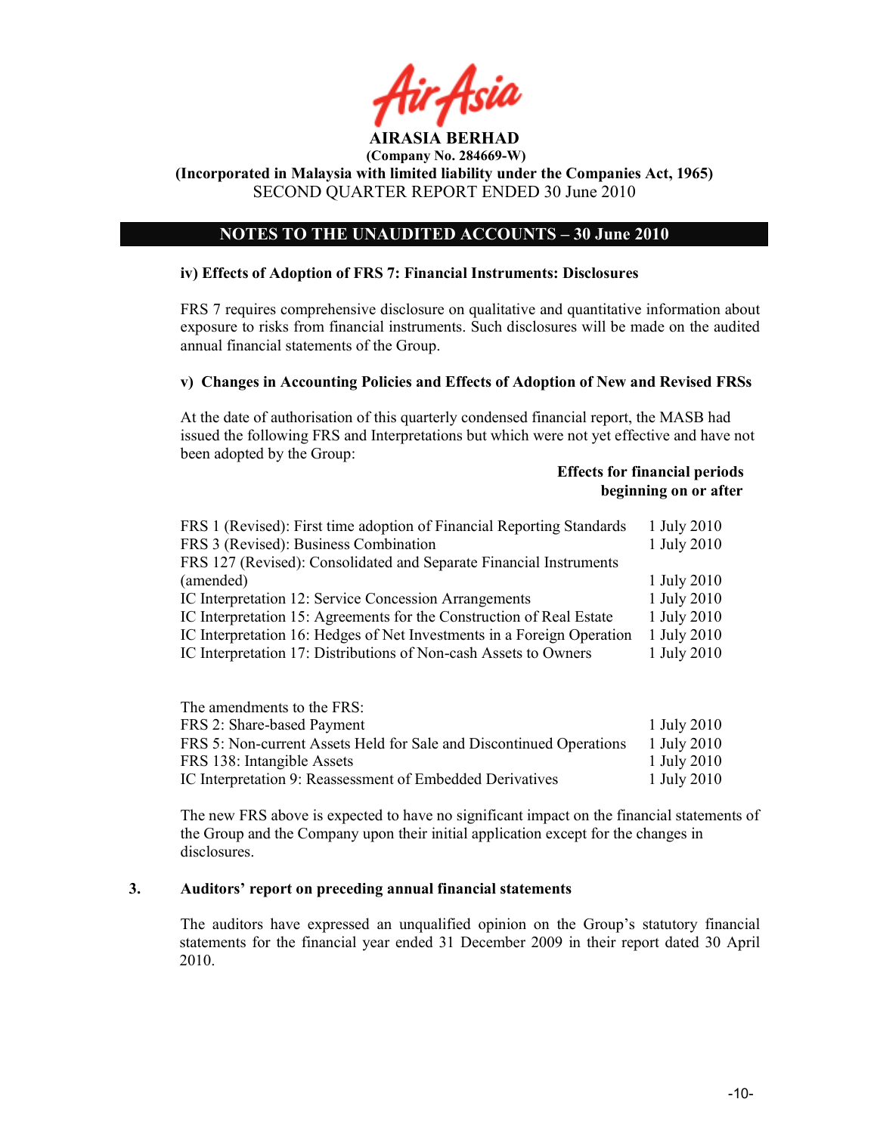

# NOTES TO THE UNAUDITED ACCOUNTS – 30 June 2010

## iv) Effects of Adoption of FRS 7: Financial Instruments: Disclosures

FRS 7 requires comprehensive disclosure on qualitative and quantitative information about exposure to risks from financial instruments. Such disclosures will be made on the audited annual financial statements of the Group.

## v) Changes in Accounting Policies and Effects of Adoption of New and Revised FRSs

At the date of authorisation of this quarterly condensed financial report, the MASB had issued the following FRS and Interpretations but which were not yet effective and have not been adopted by the Group:

## Effects for financial periods beginning on or after

| FRS 1 (Revised): First time adoption of Financial Reporting Standards<br>FRS 3 (Revised): Business Combination | 1 July 2010<br>1 July 2010 |
|----------------------------------------------------------------------------------------------------------------|----------------------------|
| FRS 127 (Revised): Consolidated and Separate Financial Instruments                                             |                            |
| (amended)                                                                                                      | 1 July 2010                |
| IC Interpretation 12: Service Concession Arrangements                                                          | 1 July 2010                |
| IC Interpretation 15: Agreements for the Construction of Real Estate                                           | 1 July 2010                |
| IC Interpretation 16: Hedges of Net Investments in a Foreign Operation                                         | 1 July 2010                |
| IC Interpretation 17: Distributions of Non-cash Assets to Owners                                               | 1 July 2010                |
|                                                                                                                |                            |

The amendments to the FRS: FRS 2: Share-based Payment 1 July 2010 FRS 5: Non-current Assets Held for Sale and Discontinued Operations 1 July 2010 FRS 138: Intangible Assets 1 July 2010 IC Interpretation 9: Reassessment of Embedded Derivatives 1 July 2010

The new FRS above is expected to have no significant impact on the financial statements of the Group and the Company upon their initial application except for the changes in disclosures.

## 3. Auditors' report on preceding annual financial statements

The auditors have expressed an unqualified opinion on the Group's statutory financial statements for the financial year ended 31 December 2009 in their report dated 30 April 2010.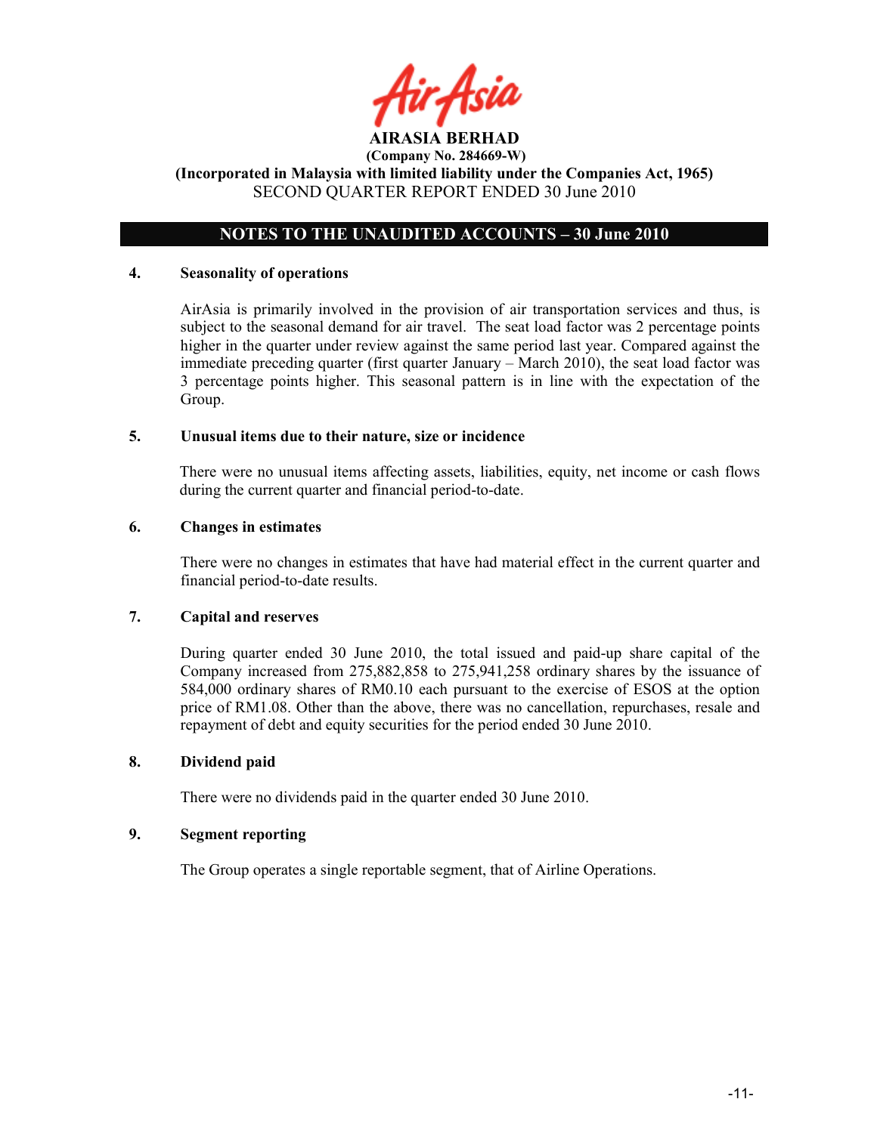

# NOTES TO THE UNAUDITED ACCOUNTS – 30 June 2010

## 4. Seasonality of operations

AirAsia is primarily involved in the provision of air transportation services and thus, is subject to the seasonal demand for air travel. The seat load factor was 2 percentage points higher in the quarter under review against the same period last year. Compared against the immediate preceding quarter (first quarter January – March 2010), the seat load factor was 3 percentage points higher. This seasonal pattern is in line with the expectation of the Group.

## 5. Unusual items due to their nature, size or incidence

There were no unusual items affecting assets, liabilities, equity, net income or cash flows during the current quarter and financial period-to-date.

## 6. Changes in estimates

There were no changes in estimates that have had material effect in the current quarter and financial period-to-date results.

## 7. Capital and reserves

During quarter ended 30 June 2010, the total issued and paid-up share capital of the Company increased from 275,882,858 to 275,941,258 ordinary shares by the issuance of 584,000 ordinary shares of RM0.10 each pursuant to the exercise of ESOS at the option price of RM1.08. Other than the above, there was no cancellation, repurchases, resale and repayment of debt and equity securities for the period ended 30 June 2010.

## 8. Dividend paid

There were no dividends paid in the quarter ended 30 June 2010.

## 9. Segment reporting

The Group operates a single reportable segment, that of Airline Operations.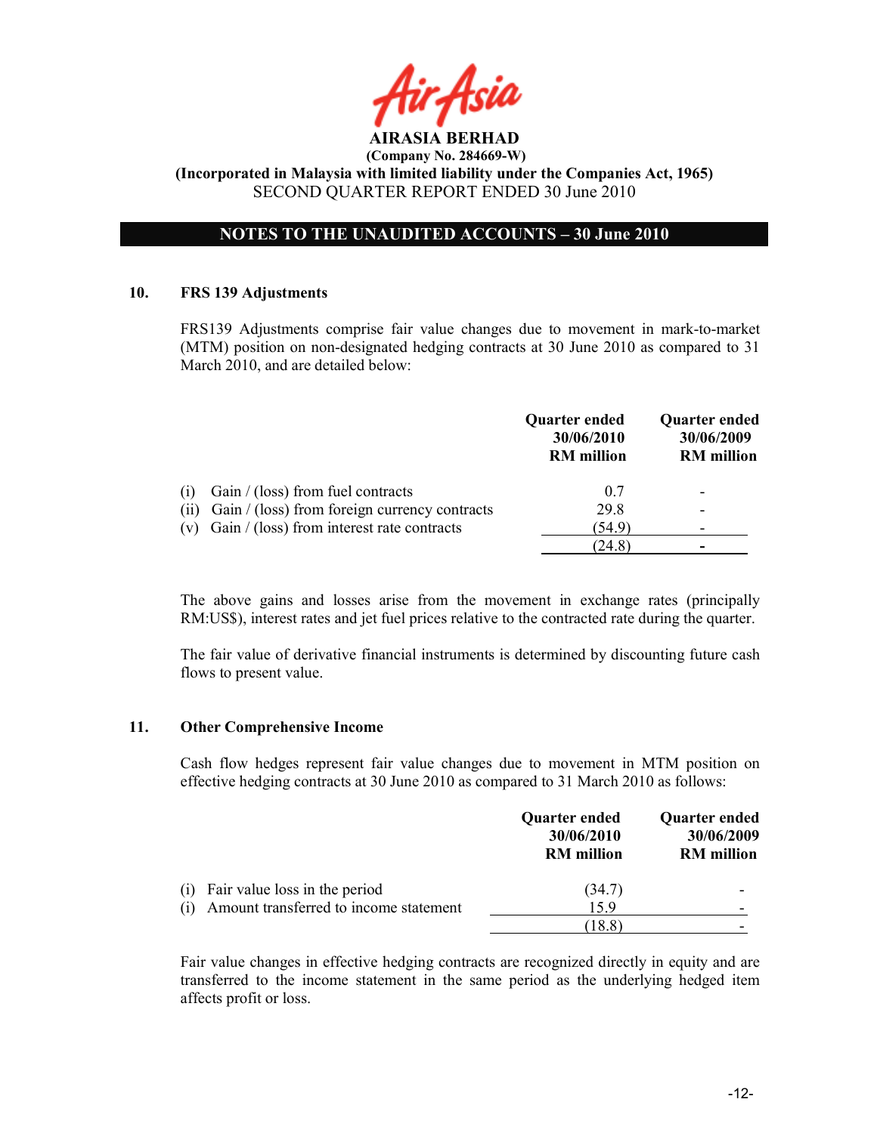

# NOTES TO THE UNAUDITED ACCOUNTS - 30 June 2010

## 10. FRS 139 Adjustments

 FRS139 Adjustments comprise fair value changes due to movement in mark-to-market (MTM) position on non-designated hedging contracts at 30 June 2010 as compared to 31 March 2010, and are detailed below:

|      |                                                  | Quarter ended<br>30/06/2010<br><b>RM</b> million | <b>Quarter ended</b><br>30/06/2009<br><b>RM</b> million |
|------|--------------------------------------------------|--------------------------------------------------|---------------------------------------------------------|
| (1)  | Gain $/$ (loss) from fuel contracts              | 07                                               | -                                                       |
| (11) | Gain / (loss) from foreign currency contracts    | 29.8                                             | $\overline{\phantom{0}}$                                |
|      | (v) Gain $/$ (loss) from interest rate contracts | (54.9)                                           |                                                         |
|      |                                                  | (24.8)                                           | -                                                       |

The above gains and losses arise from the movement in exchange rates (principally RM:US\$), interest rates and jet fuel prices relative to the contracted rate during the quarter.

The fair value of derivative financial instruments is determined by discounting future cash flows to present value.

## 11. Other Comprehensive Income

Cash flow hedges represent fair value changes due to movement in MTM position on effective hedging contracts at 30 June 2010 as compared to 31 March 2010 as follows:

|                                                                                | <b>Quarter ended</b><br>30/06/2010<br><b>RM</b> million | Quarter ended<br>30/06/2009<br><b>RM</b> million |
|--------------------------------------------------------------------------------|---------------------------------------------------------|--------------------------------------------------|
| Fair value loss in the period<br>(1)<br>Amount transferred to income statement | (34.7)<br>159                                           |                                                  |
|                                                                                | (18.8)                                                  |                                                  |

Fair value changes in effective hedging contracts are recognized directly in equity and are transferred to the income statement in the same period as the underlying hedged item affects profit or loss.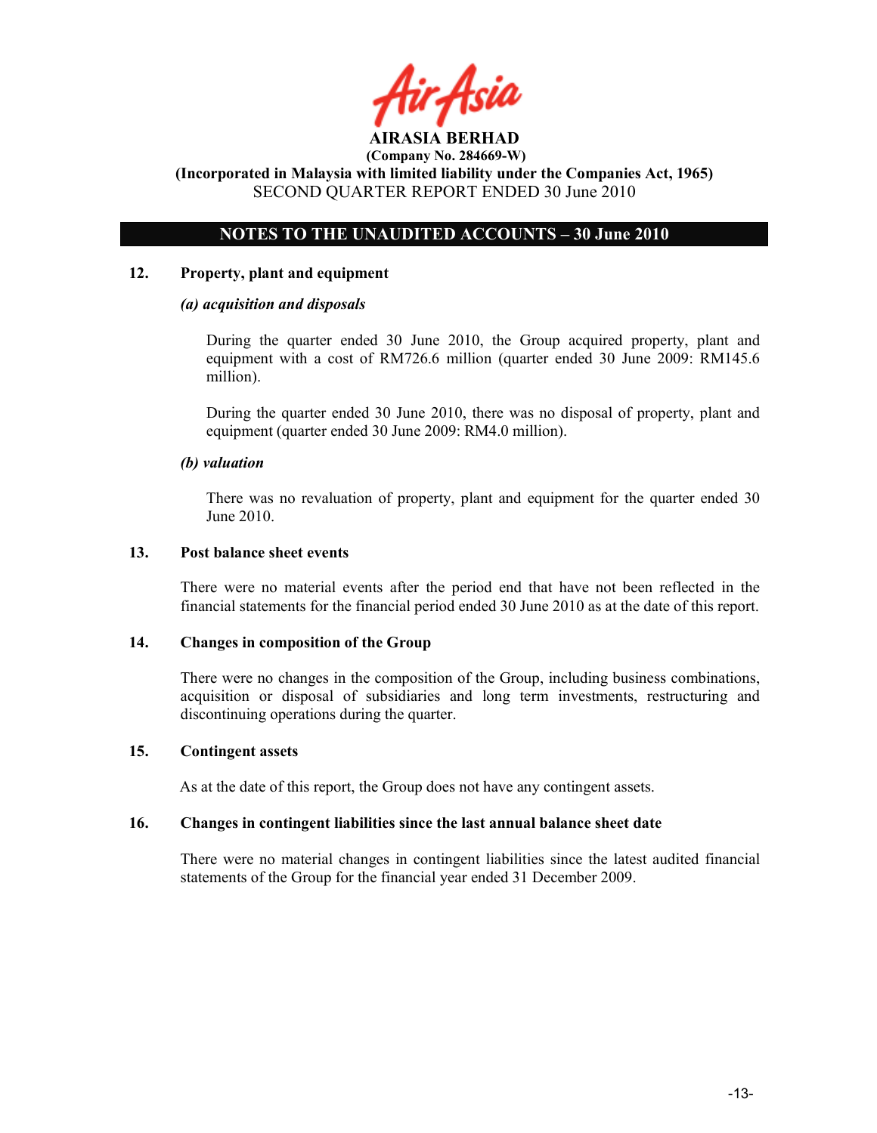

# NOTES TO THE UNAUDITED ACCOUNTS – 30 June 2010

## 12. Property, plant and equipment

## (a) acquisition and disposals

During the quarter ended 30 June 2010, the Group acquired property, plant and equipment with a cost of RM726.6 million (quarter ended 30 June 2009: RM145.6 million).

During the quarter ended 30 June 2010, there was no disposal of property, plant and equipment (quarter ended 30 June 2009: RM4.0 million).

## (b) valuation

 There was no revaluation of property, plant and equipment for the quarter ended 30 June 2010.

## 13. Post balance sheet events

There were no material events after the period end that have not been reflected in the financial statements for the financial period ended 30 June 2010 as at the date of this report.

## 14. Changes in composition of the Group

There were no changes in the composition of the Group, including business combinations, acquisition or disposal of subsidiaries and long term investments, restructuring and discontinuing operations during the quarter.

## 15. Contingent assets

As at the date of this report, the Group does not have any contingent assets.

## 16. Changes in contingent liabilities since the last annual balance sheet date

There were no material changes in contingent liabilities since the latest audited financial statements of the Group for the financial year ended 31 December 2009.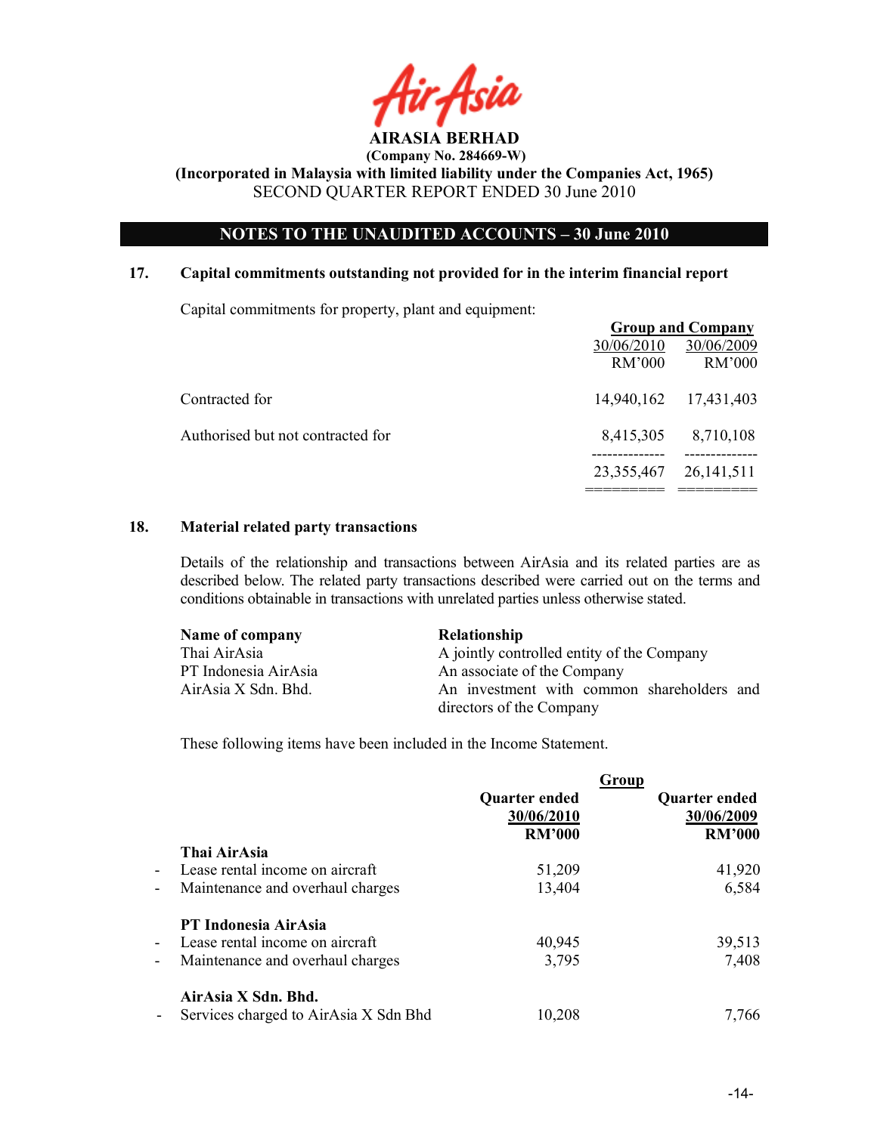

# OTES TO THE UAUDITED ACCOUTS – 30 June 2010

## 17. Capital commitments outstanding not provided for in the interim financial report

Capital commitments for property, plant and equipment:

|                                   |              | <b>Group and Company</b> |
|-----------------------------------|--------------|--------------------------|
|                                   | 30/06/2010   | 30/06/2009               |
|                                   | RM'000       | RM'000                   |
| Contracted for                    | 14,940,162   | 17,431,403               |
| Authorised but not contracted for | 8,415,305    | 8,710,108                |
|                                   | 23, 355, 467 | 26, 141, 511             |

## 18. Material related party transactions

Details of the relationship and transactions between AirAsia and its related parties are as described below. The related party transactions described were carried out on the terms and conditions obtainable in transactions with unrelated parties unless otherwise stated.

| Name of company      | <b>Relationship</b>                        |
|----------------------|--------------------------------------------|
| Thai AirAsia         | A jointly controlled entity of the Company |
| PT Indonesia AirAsia | An associate of the Company                |
| AirAsia X Sdn. Bhd.  | An investment with common shareholders and |
|                      | directors of the Company                   |

These following items have been included in the Income Statement.

|                                                   |                                       |               | <b>Group</b>         |
|---------------------------------------------------|---------------------------------------|---------------|----------------------|
|                                                   |                                       | Quarter ended | <b>Quarter ended</b> |
|                                                   |                                       | 30/06/2010    | 30/06/2009           |
|                                                   |                                       | <b>RM'000</b> | <b>RM'000</b>        |
| Thai AirAsia                                      |                                       |               |                      |
| Lease rental income on aircraft<br>$\sim$         |                                       | 51,209        | 41,920               |
| $\overline{\phantom{a}}$                          | Maintenance and overhaul charges      | 13,404        | 6,584                |
| PT Indonesia AirAsia                              |                                       |               |                      |
| Lease rental income on aircraft<br>$\blacksquare$ |                                       | 40,945        | 39,513               |
| -                                                 | Maintenance and overhaul charges      | 3,795         | 7,408                |
| AirAsia X Sdn. Bhd.                               |                                       |               |                      |
| $\blacksquare$                                    | Services charged to AirAsia X Sdn Bhd | 10,208        | 7,766                |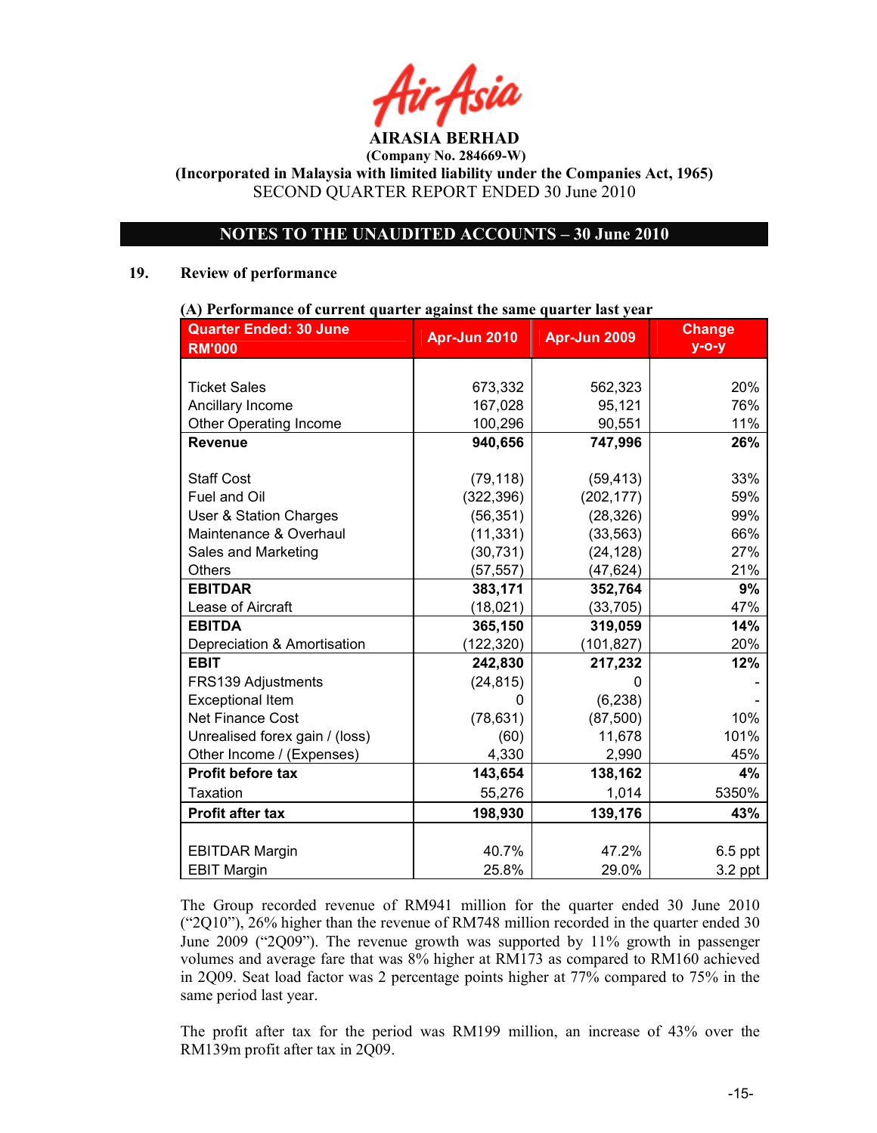# NOTES TO THE UNAUDITED ACCOUNTS - 30 June 2010

## 19. Review of performance

# (A) Performance of current quarter against the same quarter last year

| <b>Quarter Ended: 30 June</b>  | Apr-Jun 2010 | Apr-Jun 2009 | <b>Change</b> |
|--------------------------------|--------------|--------------|---------------|
| <b>RM'000</b>                  |              |              | $y$ -o-y      |
|                                |              |              |               |
| <b>Ticket Sales</b>            | 673,332      | 562,323      | 20%           |
| Ancillary Income               | 167,028      | 95,121       | 76%           |
| <b>Other Operating Income</b>  | 100,296      | 90,551       | 11%           |
| <b>Revenue</b>                 | 940,656      | 747,996      | 26%           |
|                                |              |              |               |
| <b>Staff Cost</b>              | (79, 118)    | (59, 413)    | 33%           |
| Fuel and Oil                   | (322, 396)   | (202, 177)   | 59%           |
| User & Station Charges         | (56, 351)    | (28, 326)    | 99%           |
| Maintenance & Overhaul         | (11, 331)    | (33, 563)    | 66%           |
| Sales and Marketing            | (30, 731)    | (24, 128)    | 27%           |
| <b>Others</b>                  | (57, 557)    | (47, 624)    | 21%           |
| <b>EBITDAR</b>                 | 383,171      | 352,764      | 9%            |
| Lease of Aircraft              | (18,021)     | (33, 705)    | 47%           |
| <b>EBITDA</b>                  | 365,150      | 319,059      | 14%           |
| Depreciation & Amortisation    | (122, 320)   | (101, 827)   | 20%           |
| <b>EBIT</b>                    | 242,830      | 217,232      | 12%           |
| FRS139 Adjustments             | (24, 815)    | n            |               |
| <b>Exceptional Item</b>        | $\Omega$     | (6, 238)     |               |
| <b>Net Finance Cost</b>        | (78, 631)    | (87, 500)    | 10%           |
| Unrealised forex gain / (loss) | (60)         | 11,678       | 101%          |
| Other Income / (Expenses)      | 4,330        | 2,990        | 45%           |
| Profit before tax              | 143,654      | 138,162      | 4%            |
| <b>Taxation</b>                | 55,276       | 1,014        | 5350%         |
| <b>Profit after tax</b>        | 198,930      | 139,176      | 43%           |
|                                |              |              |               |
| <b>EBITDAR Margin</b>          | 40.7%        | 47.2%        | $6.5$ ppt     |
| <b>EBIT Margin</b>             | 25.8%        | 29.0%        | $3.2$ ppt     |

The Group recorded revenue of RM941 million for the quarter ended 30 June 2010 ("2Q10"), 26% higher than the revenue of RM748 million recorded in the quarter ended 30 June 2009 ("2Q09"). The revenue growth was supported by 11% growth in passenger volumes and average fare that was 8% higher at RM173 as compared to RM160 achieved in 2Q09. Seat load factor was 2 percentage points higher at 77% compared to 75% in the same period last year.

The profit after tax for the period was RM199 million, an increase of 43% over the RM139m profit after tax in 2Q09.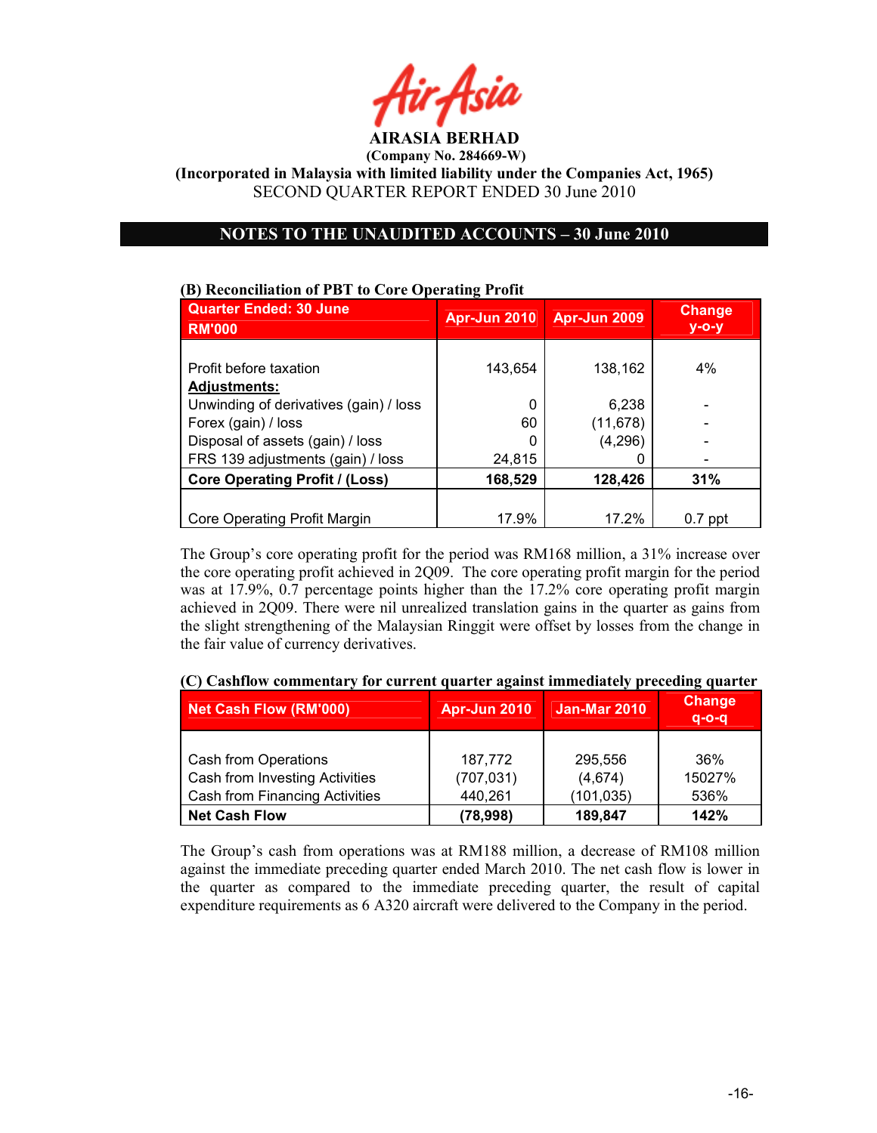

(Company No. 284669-W)

(Incorporated in Malaysia with limited liability under the Companies Act, 1965) SECOND QUARTER REPORT ENDED 30 June 2010

## NOTES TO THE UNAUDITED ACCOUNTS - 30 June 2010

# (B) Reconciliation of PBT to Core Operating Profit

| <b>Quarter Ended: 30 June</b><br><b>RM'000</b> | <b>Apr-Jun 2010</b> | Apr-Jun 2009 | <b>Change</b><br>$y$ -o-y |
|------------------------------------------------|---------------------|--------------|---------------------------|
|                                                |                     |              |                           |
| Profit before taxation                         | 143,654             | 138,162      | 4%                        |
| <b>Adjustments:</b>                            |                     |              |                           |
| Unwinding of derivatives (gain) / loss         | 0                   | 6,238        |                           |
| Forex (gain) / loss                            | 60                  | (11, 678)    |                           |
| Disposal of assets (gain) / loss               | 0                   | (4,296)      |                           |
| FRS 139 adjustments (gain) / loss              | 24,815              | 0            | $\overline{\phantom{a}}$  |
| <b>Core Operating Profit / (Loss)</b>          | 168,529             | 128,426      | 31%                       |
|                                                |                     |              |                           |
| Core Operating Profit Margin                   | 17.9%               | 17.2%        | $0.7$ ppt                 |

The Group's core operating profit for the period was RM168 million, a 31% increase over the core operating profit achieved in 2Q09. The core operating profit margin for the period was at 17.9%, 0.7 percentage points higher than the 17.2% core operating profit margin achieved in 2Q09. There were nil unrealized translation gains in the quarter as gains from the slight strengthening of the Malaysian Ringgit were offset by losses from the change in the fair value of currency derivatives.

|  | (C) Cashflow commentary for current quarter against immediately preceding quarter |  |  |
|--|-----------------------------------------------------------------------------------|--|--|
|  |                                                                                   |  |  |

| Net Cash Flow (RM'000)         | <b>Apr-Jun 2010</b> | <b>Jan-Mar 2010</b> | <b>Change</b><br>$q - o - q$ |
|--------------------------------|---------------------|---------------------|------------------------------|
|                                |                     |                     |                              |
| Cash from Operations           | 187,772             | 295,556             | 36%                          |
| Cash from Investing Activities | (707, 031)          | (4,674)             | 15027%                       |
| Cash from Financing Activities | 440,261             | (101, 035)          | 536%                         |
| <b>Net Cash Flow</b>           | (78, 998)           | 189,847             | 142%                         |

The Group's cash from operations was at RM188 million, a decrease of RM108 million against the immediate preceding quarter ended March 2010. The net cash flow is lower in the quarter as compared to the immediate preceding quarter, the result of capital expenditure requirements as 6 A320 aircraft were delivered to the Company in the period.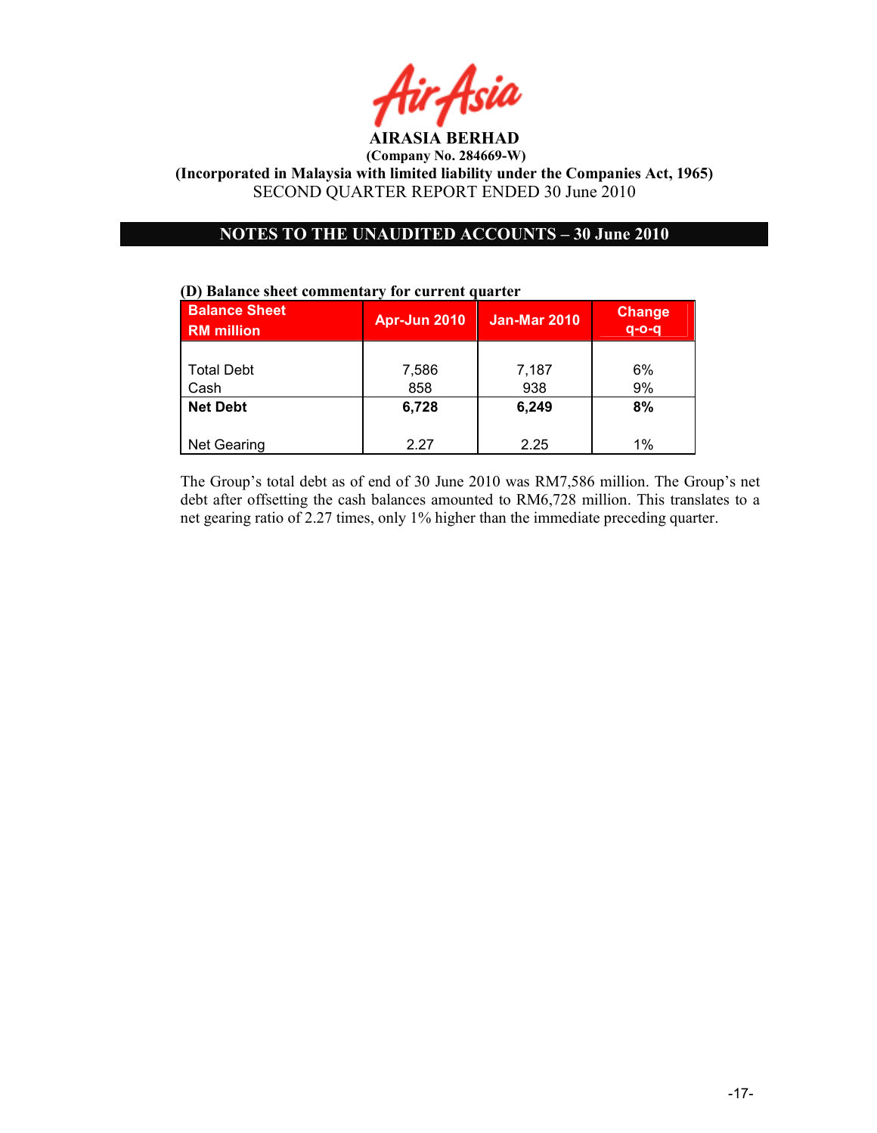

# OTES TO THE UAUDITED ACCOUTS – 30 June 2010

# Balance Sheet RM million Apr-Jun 2010 | Jan-Mar 2010 | Change q-o-q Total Debt  $\begin{array}{|c|c|c|c|c|c|} \hline \end{array}$  7,586 | 7,187 | 6% Cash 858 938 9% Net Debt  $\begin{array}{|c|c|c|c|c|c|c|c|c|} \hline \text{6,728} & \text{6,249} & \text{8\%} \ \hline \end{array}$ Net Gearing 1% 2.27 2.25 1%

The Group's total debt as of end of 30 June 2010 was RM7,586 million. The Group's net debt after offsetting the cash balances amounted to RM6,728 million. This translates to a net gearing ratio of 2.27 times, only 1% higher than the immediate preceding quarter.

# (D) Balance sheet commentary for current quarter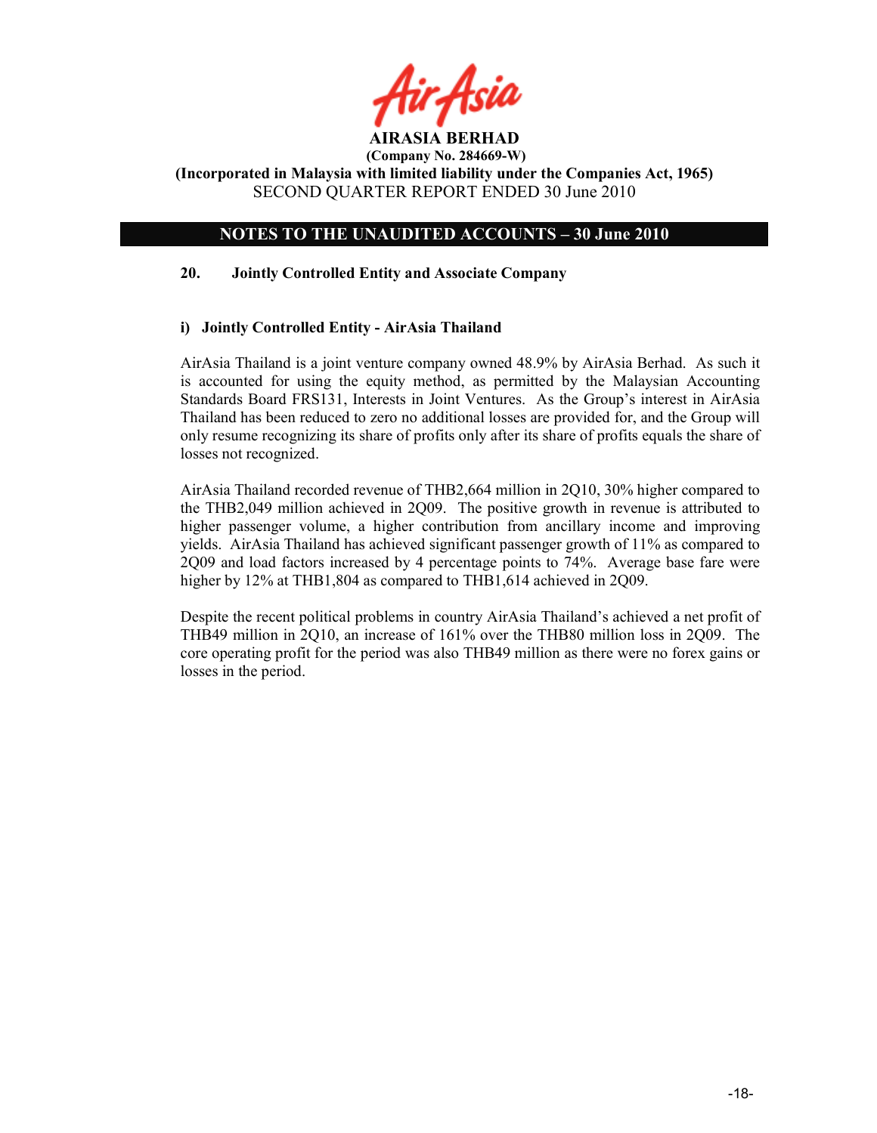

# NOTES TO THE UNAUDITED ACCOUNTS - 30 June 2010

## 20. Jointly Controlled Entity and Associate Company

## i) Jointly Controlled Entity - AirAsia Thailand

AirAsia Thailand is a joint venture company owned 48.9% by AirAsia Berhad. As such it is accounted for using the equity method, as permitted by the Malaysian Accounting Standards Board FRS131, Interests in Joint Ventures. As the Group's interest in AirAsia Thailand has been reduced to zero no additional losses are provided for, and the Group will only resume recognizing its share of profits only after its share of profits equals the share of losses not recognized.

AirAsia Thailand recorded revenue of THB2,664 million in 2Q10, 30% higher compared to the THB2,049 million achieved in 2Q09. The positive growth in revenue is attributed to higher passenger volume, a higher contribution from ancillary income and improving yields. AirAsia Thailand has achieved significant passenger growth of 11% as compared to 2Q09 and load factors increased by 4 percentage points to 74%. Average base fare were higher by 12% at THB1,804 as compared to THB1,614 achieved in 2Q09.

Despite the recent political problems in country AirAsia Thailand's achieved a net profit of THB49 million in 2Q10, an increase of 161% over the THB80 million loss in 2Q09. The core operating profit for the period was also THB49 million as there were no forex gains or losses in the period.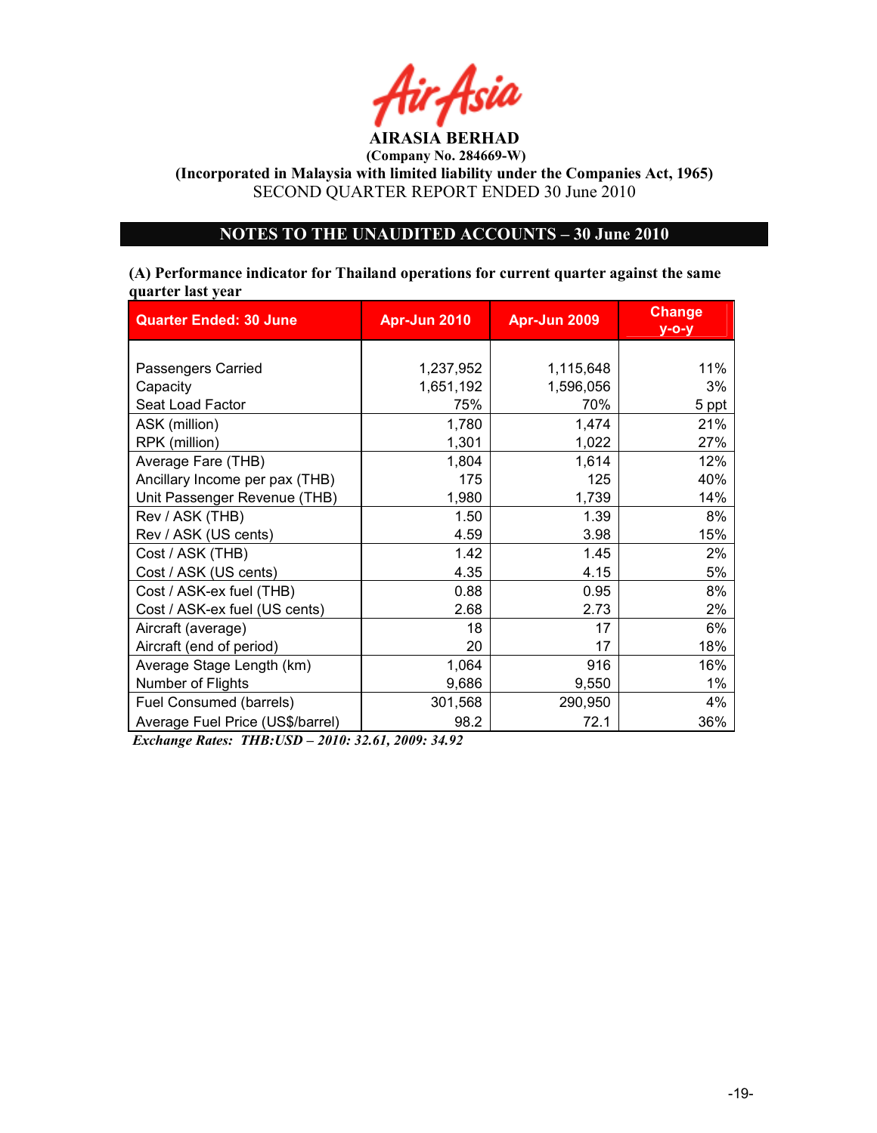

(Company No. 284669-W)

(Incorporated in Malaysia with limited liability under the Companies Act, 1965) SECOND QUARTER REPORT ENDED 30 June 2010

# OTES TO THE UAUDITED ACCOUTS – 30 June 2010

## (A) Performance indicator for Thailand operations for current quarter against the same quarter last year

| <b>Quarter Ended: 30 June</b>    | Apr-Jun 2010 | Apr-Jun 2009 | <b>Change</b><br>$y$ -o-y |
|----------------------------------|--------------|--------------|---------------------------|
|                                  |              |              |                           |
| Passengers Carried               | 1,237,952    | 1,115,648    | 11%                       |
| Capacity                         | 1,651,192    | 1,596,056    | 3%                        |
| Seat Load Factor                 | 75%          | 70%          | 5 ppt                     |
| ASK (million)                    | 1,780        | 1,474        | 21%                       |
| RPK (million)                    | 1,301        | 1,022        | 27%                       |
| Average Fare (THB)               | 1,804        | 1,614        | 12%                       |
| Ancillary Income per pax (THB)   | 175          | 125          | 40%                       |
| Unit Passenger Revenue (THB)     | 1,980        | 1,739        | 14%                       |
| Rev / ASK (THB)                  | 1.50         | 1.39         | 8%                        |
| Rev / ASK (US cents)             | 4.59         | 3.98         | 15%                       |
| Cost / ASK (THB)                 | 1.42         | 1.45         | 2%                        |
| Cost / ASK (US cents)            | 4.35         | 4.15         | 5%                        |
| Cost / ASK-ex fuel (THB)         | 0.88         | 0.95         | 8%                        |
| Cost / ASK-ex fuel (US cents)    | 2.68         | 2.73         | 2%                        |
| Aircraft (average)               | 18           | 17           | 6%                        |
| Aircraft (end of period)         | 20           | 17           | 18%                       |
| Average Stage Length (km)        | 1,064        | 916          | 16%                       |
| Number of Flights                | 9,686        | 9,550        | $1\%$                     |
| Fuel Consumed (barrels)          | 301,568      | 290,950      | 4%                        |
| Average Fuel Price (US\$/barrel) | 98.2         | 72.1         | 36%                       |

Exchange Rates: THB:USD – 2010: 32.61, 2009: 34.92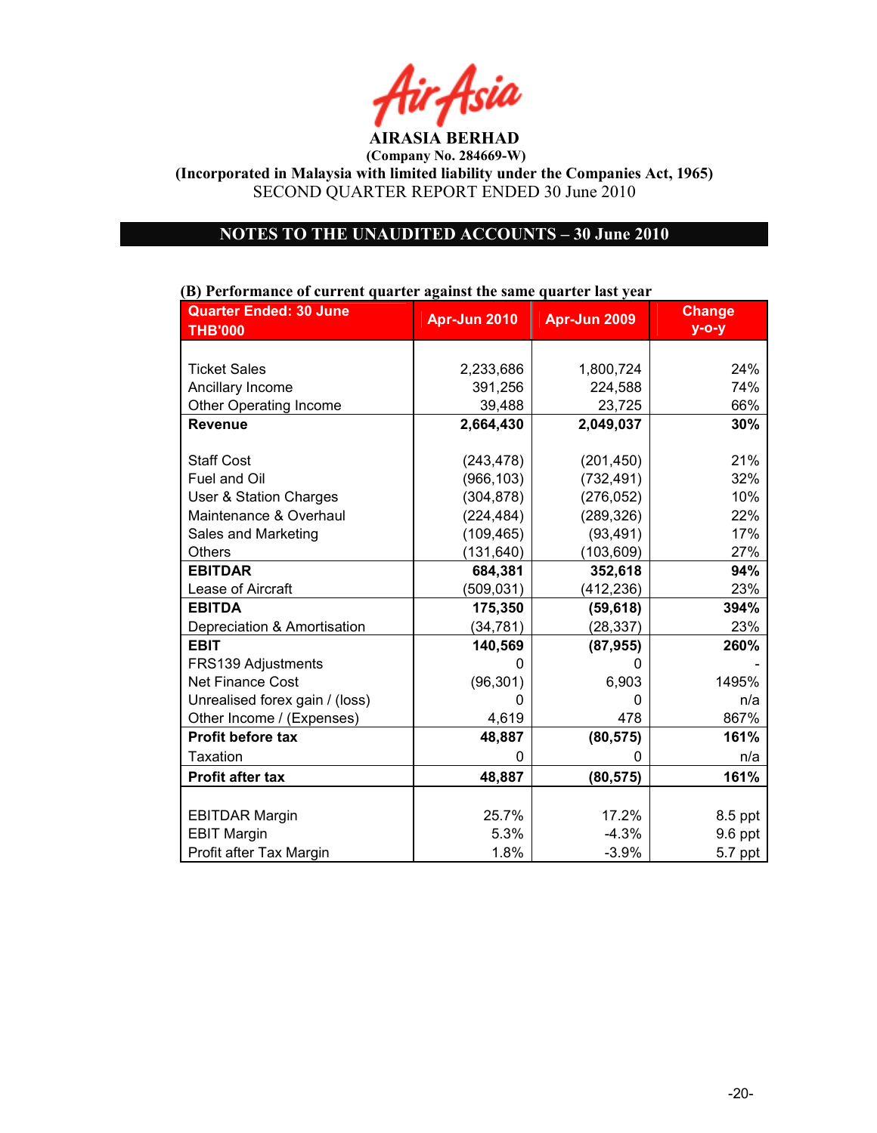

(Company No. 284669-W)

(Incorporated in Malaysia with limited liability under the Companies Act, 1965) SECOND QUARTER REPORT ENDED 30 June 2010

# OTES TO THE UAUDITED ACCOUTS – 30 June 2010

| р) і сітогінансе от сиггені quarter against the same quarter fast year |              |              |               |
|------------------------------------------------------------------------|--------------|--------------|---------------|
| <b>Quarter Ended: 30 June</b>                                          | Apr-Jun 2010 | Apr-Jun 2009 | <b>Change</b> |
| <b>THB'000</b>                                                         |              |              | $y - o - y$   |
|                                                                        |              |              |               |
| <b>Ticket Sales</b>                                                    | 2,233,686    | 1,800,724    | 24%           |
| Ancillary Income                                                       | 391,256      | 224,588      | 74%           |
| <b>Other Operating Income</b>                                          | 39,488       | 23,725       | 66%           |
| <b>Revenue</b>                                                         | 2,664,430    | 2,049,037    | 30%           |
|                                                                        |              |              |               |
| <b>Staff Cost</b>                                                      | (243, 478)   | (201, 450)   | 21%           |
| Fuel and Oil                                                           | (966, 103)   | (732, 491)   | 32%           |
| User & Station Charges                                                 | (304, 878)   | (276, 052)   | 10%           |
| Maintenance & Overhaul                                                 | (224, 484)   | (289, 326)   | 22%           |
| Sales and Marketing                                                    | (109, 465)   | (93, 491)    | 17%           |
| <b>Others</b>                                                          | (131, 640)   | (103, 609)   | 27%           |
| <b>EBITDAR</b>                                                         | 684,381      | 352,618      | 94%           |
| Lease of Aircraft                                                      | (509, 031)   | (412, 236)   | 23%           |
| <b>EBITDA</b>                                                          | 175,350      | (59, 618)    | 394%          |
| Depreciation & Amortisation                                            | (34, 781)    | (28, 337)    | 23%           |
| <b>EBIT</b>                                                            | 140,569      | (87, 955)    | 260%          |
| FRS139 Adjustments                                                     |              |              |               |
| <b>Net Finance Cost</b>                                                | (96, 301)    | 6,903        | 1495%         |
| Unrealised forex gain / (loss)                                         | O            | O            | n/a           |
| Other Income / (Expenses)                                              | 4,619        | 478          | 867%          |
| Profit before tax                                                      | 48,887       | (80, 575)    | 161%          |
| <b>Taxation</b>                                                        | 0            | 0            | n/a           |
| <b>Profit after tax</b>                                                | 48,887       | (80, 575)    | 161%          |
|                                                                        |              |              |               |
| <b>EBITDAR Margin</b>                                                  | 25.7%        | 17.2%        | 8.5 ppt       |
| <b>EBIT Margin</b>                                                     | 5.3%         | $-4.3%$      | 9.6 ppt       |
| Profit after Tax Margin                                                | 1.8%         | $-3.9%$      | 5.7 ppt       |

## (B) Performance of current quarter against the same quarter last year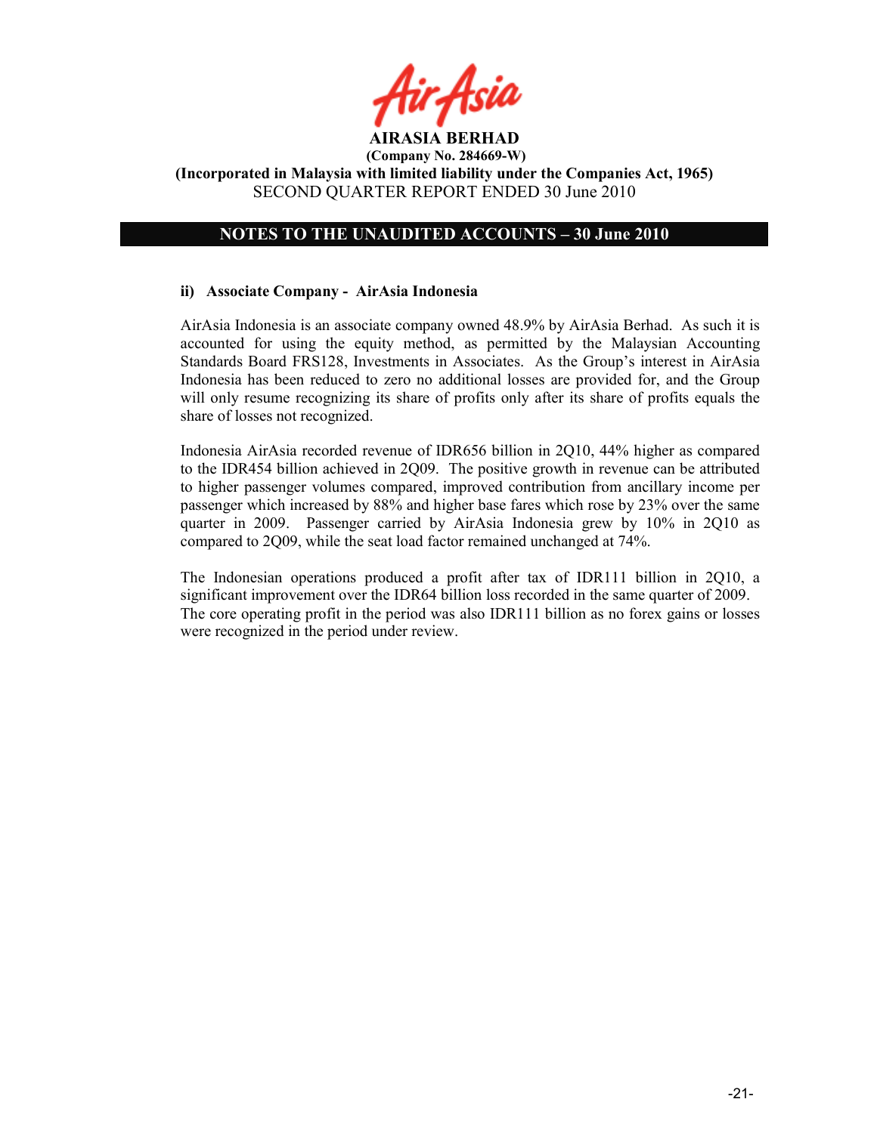

# NOTES TO THE UNAUDITED ACCOUNTS - 30 June 2010

## ii) Associate Company - AirAsia Indonesia

AirAsia Indonesia is an associate company owned 48.9% by AirAsia Berhad. As such it is accounted for using the equity method, as permitted by the Malaysian Accounting Standards Board FRS128, Investments in Associates. As the Group's interest in AirAsia Indonesia has been reduced to zero no additional losses are provided for, and the Group will only resume recognizing its share of profits only after its share of profits equals the share of losses not recognized.

Indonesia AirAsia recorded revenue of IDR656 billion in 2Q10, 44% higher as compared to the IDR454 billion achieved in 2Q09. The positive growth in revenue can be attributed to higher passenger volumes compared, improved contribution from ancillary income per passenger which increased by 88% and higher base fares which rose by 23% over the same quarter in 2009. Passenger carried by AirAsia Indonesia grew by 10% in 2Q10 as compared to 2Q09, while the seat load factor remained unchanged at 74%.

The Indonesian operations produced a profit after tax of IDR111 billion in 2Q10, a significant improvement over the IDR64 billion loss recorded in the same quarter of 2009. The core operating profit in the period was also IDR111 billion as no forex gains or losses were recognized in the period under review.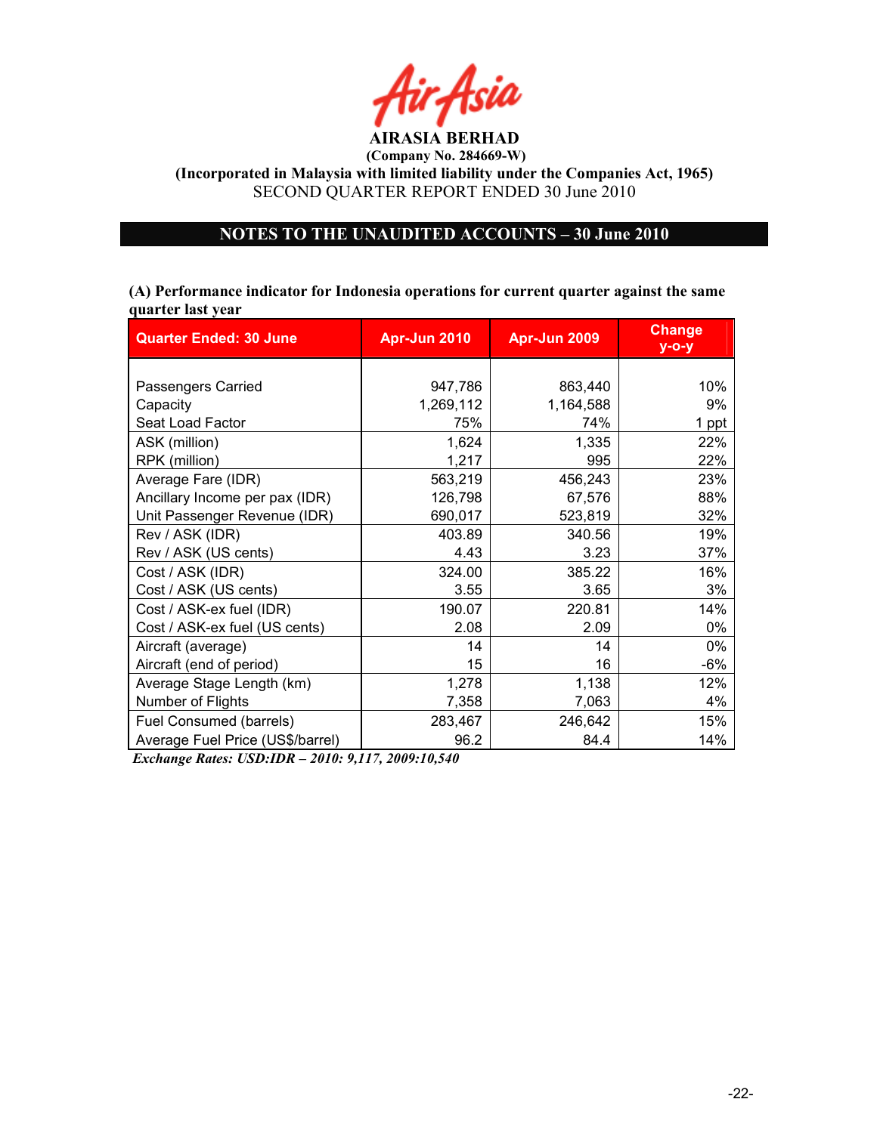

# OTES TO THE UAUDITED ACCOUTS – 30 June 2010

(A) Performance indicator for Indonesia operations for current quarter against the same quarter last year

| <b>Quarter Ended: 30 June</b>    | Apr-Jun 2010 | Apr-Jun 2009 |       |
|----------------------------------|--------------|--------------|-------|
|                                  |              |              |       |
| Passengers Carried               | 947,786      | 863,440      | 10%   |
| Capacity                         | 1,269,112    | 1,164,588    | 9%    |
| Seat Load Factor                 | 75%          | 74%          | 1 ppt |
| ASK (million)                    | 1,624        | 1,335        | 22%   |
| RPK (million)                    | 1,217        | 995          | 22%   |
| Average Fare (IDR)               | 563,219      | 456,243      | 23%   |
| Ancillary Income per pax (IDR)   | 126,798      | 67,576       | 88%   |
| Unit Passenger Revenue (IDR)     | 690,017      | 523,819      | 32%   |
| Rev / ASK (IDR)                  | 403.89       | 340.56       | 19%   |
| Rev / ASK (US cents)             | 4.43         | 3.23         | 37%   |
| Cost / ASK (IDR)                 | 324.00       | 385.22       | 16%   |
| Cost / ASK (US cents)            | 3.55         | 3.65         | 3%    |
| Cost / ASK-ex fuel (IDR)         | 190.07       | 220.81       | 14%   |
| Cost / ASK-ex fuel (US cents)    | 2.08         | 2.09         | 0%    |
| Aircraft (average)               | 14           | 14           | 0%    |
| Aircraft (end of period)         | 15           | 16           | -6%   |
| Average Stage Length (km)        | 1,278        | 1,138        | 12%   |
| Number of Flights                | 7,358        | 7,063        | 4%    |
| Fuel Consumed (barrels)          | 283,467      | 246,642      | 15%   |
| Average Fuel Price (US\$/barrel) | 96.2         | 84.4         | 14%   |

Exchange Rates: USD:IDR – 2010: 9,117, 2009:10,540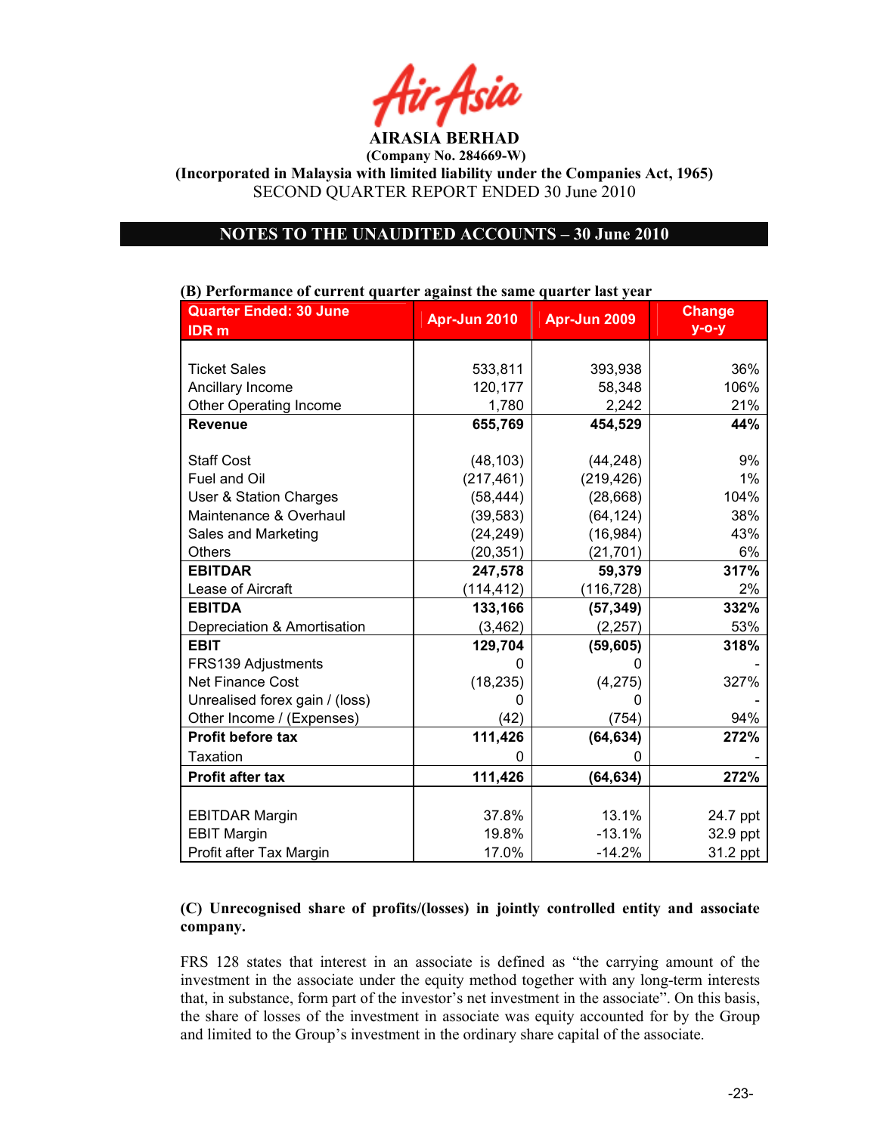

(Company No. 284669-W)

(Incorporated in Malaysia with limited liability under the Companies Act, 1965) SECOND QUARTER REPORT ENDED 30 June 2010

## NOTES TO THE UNAUDITED ACCOUNTS - 30 June 2010

| р) і сгібі тапсс от ситтепе quarter against the same quarter fast year |              |              |               |
|------------------------------------------------------------------------|--------------|--------------|---------------|
| <b>Quarter Ended: 30 June</b>                                          | Apr-Jun 2010 | Apr-Jun 2009 | <b>Change</b> |
| <b>IDR</b> m                                                           |              |              | $y$ -o-y      |
|                                                                        |              |              |               |
| <b>Ticket Sales</b>                                                    | 533,811      | 393,938      | 36%           |
|                                                                        |              |              |               |
| Ancillary Income                                                       | 120,177      | 58,348       | 106%          |
| Other Operating Income                                                 | 1,780        | 2,242        | 21%           |
| <b>Revenue</b>                                                         | 655,769      | 454,529      | 44%           |
|                                                                        |              |              |               |
| <b>Staff Cost</b>                                                      | (48, 103)    | (44, 248)    | 9%            |
| Fuel and Oil                                                           | (217, 461)   | (219, 426)   | 1%            |
| User & Station Charges                                                 | (58, 444)    | (28, 668)    | 104%          |
| Maintenance & Overhaul                                                 | (39, 583)    | (64, 124)    | 38%           |
| Sales and Marketing                                                    | (24, 249)    | (16, 984)    | 43%           |
| Others                                                                 | (20, 351)    | (21, 701)    | 6%            |
| <b>EBITDAR</b>                                                         | 247,578      | 59,379       | 317%          |
| Lease of Aircraft                                                      | (114, 412)   | (116, 728)   | 2%            |
| <b>EBITDA</b>                                                          | 133,166      | (57, 349)    | 332%          |
| Depreciation & Amortisation                                            | (3, 462)     | (2, 257)     | 53%           |
| <b>EBIT</b>                                                            | 129,704      | (59, 605)    | 318%          |
| FRS139 Adjustments                                                     |              |              |               |
| <b>Net Finance Cost</b>                                                | (18, 235)    | (4,275)      | 327%          |
| Unrealised forex gain / (loss)                                         | ი            | ი            |               |
| Other Income / (Expenses)                                              | (42)         | (754)        | 94%           |
| <b>Profit before tax</b>                                               | 111,426      | (64, 634)    | 272%          |
| <b>Taxation</b>                                                        | O            | ი            |               |
| <b>Profit after tax</b>                                                | 111,426      | (64, 634)    | 272%          |
|                                                                        |              |              |               |
| <b>EBITDAR Margin</b>                                                  | 37.8%        | 13.1%        | 24.7 ppt      |
| <b>EBIT Margin</b>                                                     | 19.8%        | $-13.1%$     | 32.9 ppt      |
| Profit after Tax Margin                                                | 17.0%        | $-14.2%$     | 31.2 ppt      |

## (B) Performance of current quarter against the same quarter last year

# (C) Unrecognised share of profits/(losses) in jointly controlled entity and associate company.

FRS 128 states that interest in an associate is defined as "the carrying amount of the investment in the associate under the equity method together with any long-term interests that, in substance, form part of the investor's net investment in the associate". On this basis, the share of losses of the investment in associate was equity accounted for by the Group and limited to the Group's investment in the ordinary share capital of the associate.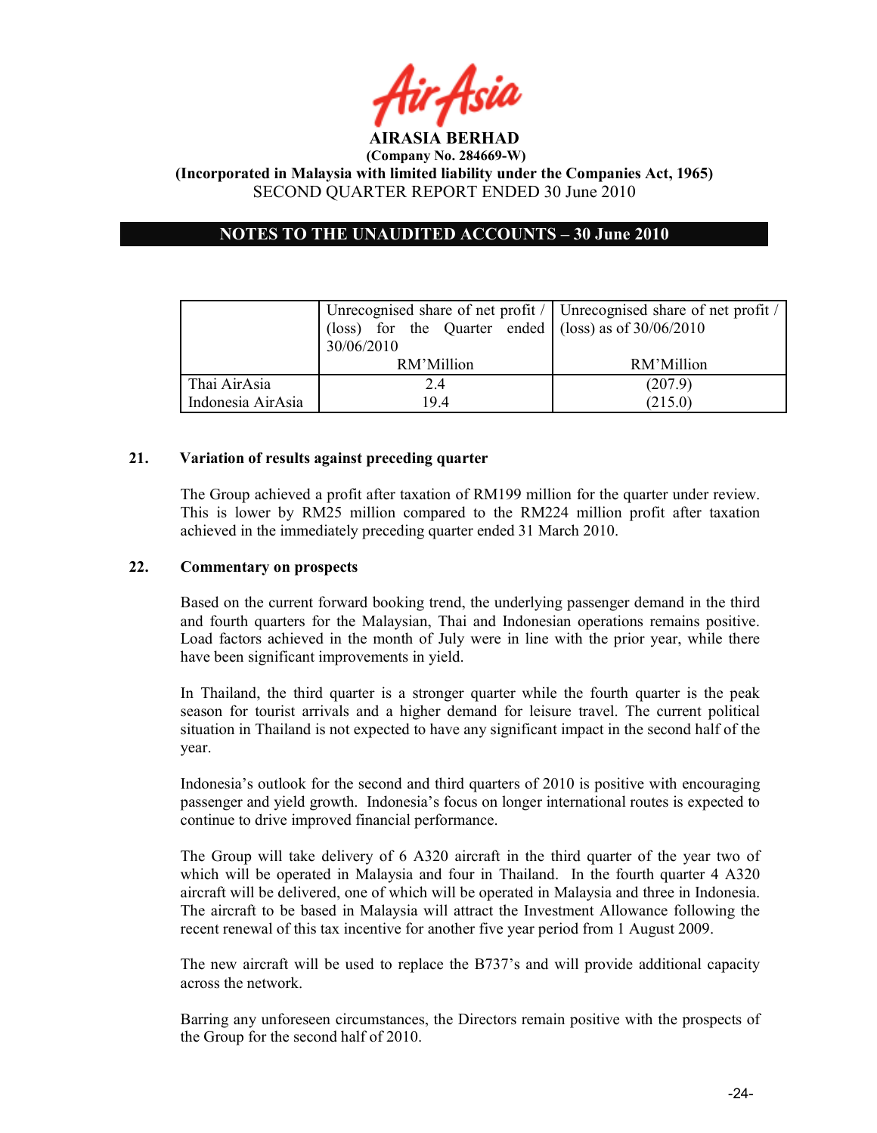

# OTES TO THE UAUDITED ACCOUTS – 30 June 2010

|                   | Unrecognised share of net profit /   Unrecognised share of net profit / |            |
|-------------------|-------------------------------------------------------------------------|------------|
|                   | (loss) for the Quarter ended $ ($ loss) as of 30/06/2010                |            |
|                   | 30/06/2010                                                              |            |
|                   | RM'Million                                                              | RM'Million |
| Thai AirAsia      | 2.4                                                                     | (207.9)    |
| Indonesia AirAsia | 194                                                                     | (215.0)    |

## 21. Variation of results against preceding quarter

The Group achieved a profit after taxation of RM199 million for the quarter under review. This is lower by RM25 million compared to the RM224 million profit after taxation achieved in the immediately preceding quarter ended 31 March 2010.

## 22. Commentary on prospects

Based on the current forward booking trend, the underlying passenger demand in the third and fourth quarters for the Malaysian, Thai and Indonesian operations remains positive. Load factors achieved in the month of July were in line with the prior year, while there have been significant improvements in yield.

In Thailand, the third quarter is a stronger quarter while the fourth quarter is the peak season for tourist arrivals and a higher demand for leisure travel. The current political situation in Thailand is not expected to have any significant impact in the second half of the year.

Indonesia's outlook for the second and third quarters of 2010 is positive with encouraging passenger and yield growth. Indonesia's focus on longer international routes is expected to continue to drive improved financial performance.

The Group will take delivery of 6 A320 aircraft in the third quarter of the year two of which will be operated in Malaysia and four in Thailand. In the fourth quarter 4 A320 aircraft will be delivered, one of which will be operated in Malaysia and three in Indonesia. The aircraft to be based in Malaysia will attract the Investment Allowance following the recent renewal of this tax incentive for another five year period from 1 August 2009.

The new aircraft will be used to replace the B737's and will provide additional capacity across the network.

Barring any unforeseen circumstances, the Directors remain positive with the prospects of the Group for the second half of 2010.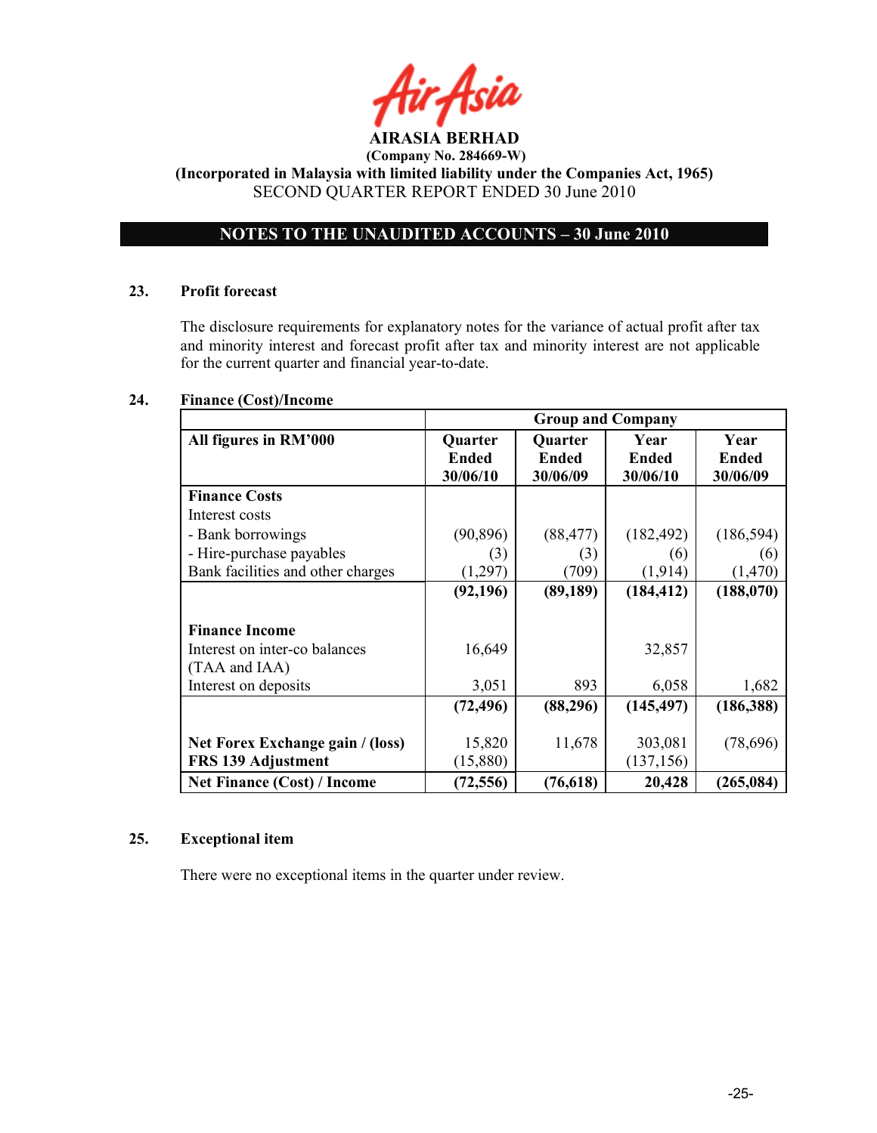

# OTES TO THE UAUDITED ACCOUTS – 30 June 2010

## 23. Profit forecast

The disclosure requirements for explanatory notes for the variance of actual profit after tax and minority interest and forecast profit after tax and minority interest are not applicable for the current quarter and financial year-to-date.

# 24. Finance (Cost)/Income

|                                                        | <b>Group and Company</b>     |                                     |                                  |                                  |
|--------------------------------------------------------|------------------------------|-------------------------------------|----------------------------------|----------------------------------|
| All figures in RM'000                                  | Quarter<br>Ended<br>30/06/10 | Quarter<br><b>Ended</b><br>30/06/09 | Year<br><b>Ended</b><br>30/06/10 | Year<br><b>Ended</b><br>30/06/09 |
| <b>Finance Costs</b>                                   |                              |                                     |                                  |                                  |
| Interest costs                                         |                              |                                     |                                  |                                  |
| - Bank borrowings                                      | (90, 896)                    | (88, 477)                           | (182, 492)                       | (186, 594)                       |
| - Hire-purchase payables                               | (3)                          | (3)                                 | (6)                              | (6)                              |
| Bank facilities and other charges                      | (1,297)                      | (709)                               | (1,914)                          | (1,470)                          |
|                                                        | (92, 196)                    | (89, 189)                           | (184, 412)                       | (188,070)                        |
| <b>Finance Income</b>                                  |                              |                                     |                                  |                                  |
| Interest on inter-co balances<br>(TAA and IAA)         | 16,649                       |                                     | 32,857                           |                                  |
| Interest on deposits                                   | 3,051                        | 893                                 | 6,058                            | 1,682                            |
|                                                        | (72, 496)                    | (88, 296)                           | (145, 497)                       | (186, 388)                       |
| Net Forex Exchange gain / (loss)<br>FRS 139 Adjustment | 15,820<br>(15,880)           | 11,678                              | 303,081<br>(137, 156)            | (78,696)                         |
| <b>Net Finance (Cost) / Income</b>                     | (72, 556)                    | (76, 618)                           | 20,428                           | (265, 084)                       |

## 25. Exceptional item

There were no exceptional items in the quarter under review.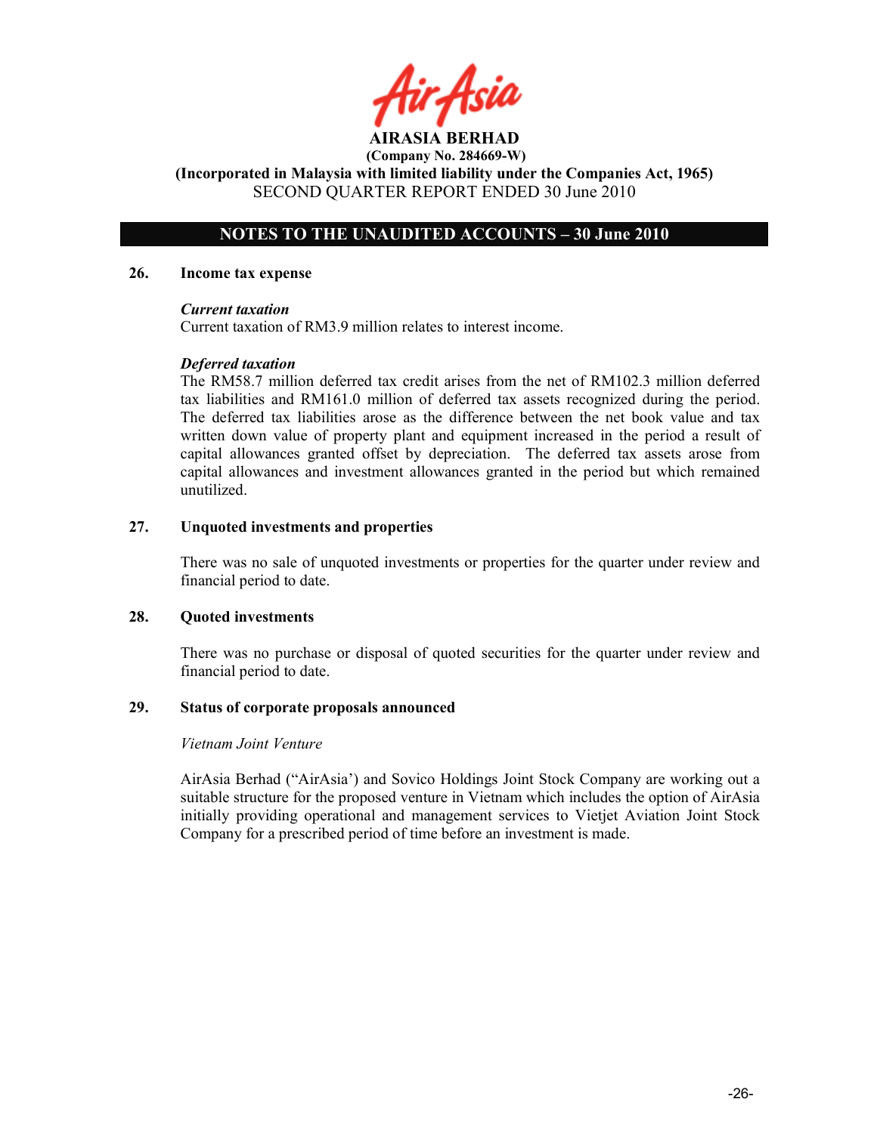# NOTES TO THE UNAUDITED ACCOUNTS – 30 June 2010

#### 26. Income tax expense

## Current taxation

Current taxation of RM3.9 million relates to interest income.

## Deferred taxation

The RM58.7 million deferred tax credit arises from the net of RM102.3 million deferred tax liabilities and RM161.0 million of deferred tax assets recognized during the period. The deferred tax liabilities arose as the difference between the net book value and tax written down value of property plant and equipment increased in the period a result of capital allowances granted offset by depreciation. The deferred tax assets arose from capital allowances and investment allowances granted in the period but which remained unutilized.

## 27. Unquoted investments and properties

There was no sale of unquoted investments or properties for the quarter under review and financial period to date.

## 28. Quoted investments

There was no purchase or disposal of quoted securities for the quarter under review and financial period to date.

## 29. Status of corporate proposals announced

## Vietnam Joint Venture

AirAsia Berhad ("AirAsia') and Sovico Holdings Joint Stock Company are working out a suitable structure for the proposed venture in Vietnam which includes the option of AirAsia initially providing operational and management services to Vietjet Aviation Joint Stock Company for a prescribed period of time before an investment is made.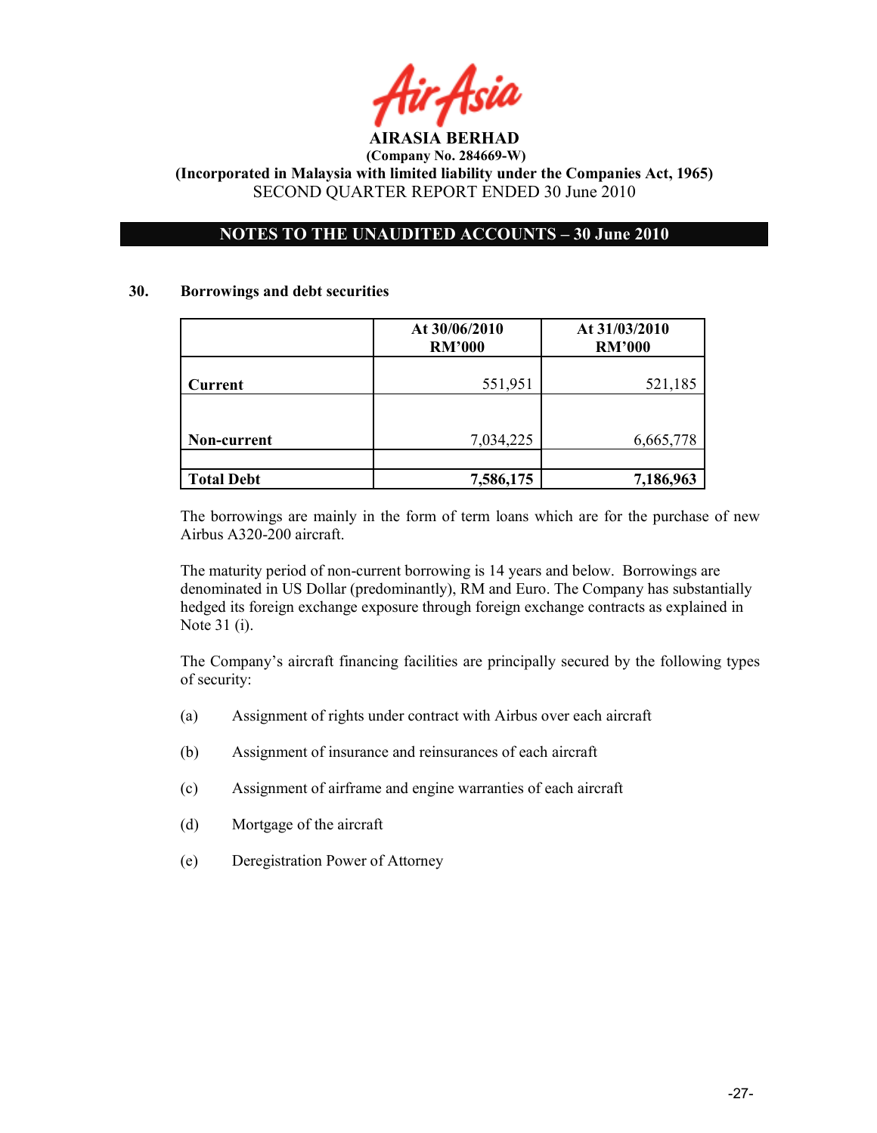

# NOTES TO THE UNAUDITED ACCOUNTS – 30 June 2010

## 30. Borrowings and debt securities

|                   | At 30/06/2010<br><b>RM'000</b> | At 31/03/2010<br><b>RM'000</b> |  |
|-------------------|--------------------------------|--------------------------------|--|
| <b>Current</b>    | 551,951                        | 521,185                        |  |
|                   |                                |                                |  |
| Non-current       | 7,034,225                      | 6,665,778                      |  |
|                   |                                |                                |  |
| <b>Total Debt</b> | 7,586,175                      | 7,186,963                      |  |

The borrowings are mainly in the form of term loans which are for the purchase of new Airbus A320-200 aircraft.

The maturity period of non-current borrowing is 14 years and below. Borrowings are denominated in US Dollar (predominantly), RM and Euro. The Company has substantially hedged its foreign exchange exposure through foreign exchange contracts as explained in Note 31 (i).

The Company's aircraft financing facilities are principally secured by the following types of security:

- (a) Assignment of rights under contract with Airbus over each aircraft
- (b) Assignment of insurance and reinsurances of each aircraft
- (c) Assignment of airframe and engine warranties of each aircraft
- (d) Mortgage of the aircraft
- (e) Deregistration Power of Attorney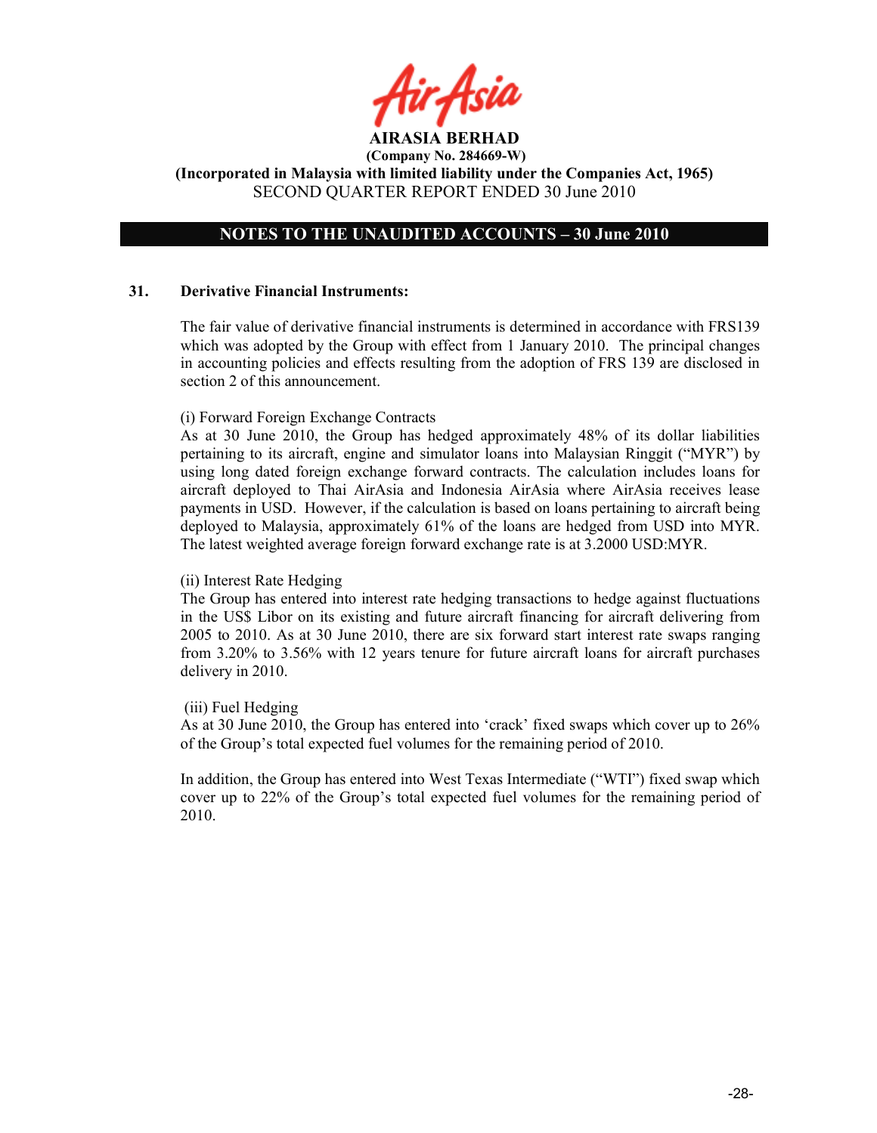## NOTES TO THE UNAUDITED ACCOUNTS – 30 June 2010

## 31. Derivative Financial Instruments:

The fair value of derivative financial instruments is determined in accordance with FRS139 which was adopted by the Group with effect from 1 January 2010. The principal changes in accounting policies and effects resulting from the adoption of FRS 139 are disclosed in section 2 of this announcement.

## (i) Forward Foreign Exchange Contracts

As at 30 June 2010, the Group has hedged approximately 48% of its dollar liabilities pertaining to its aircraft, engine and simulator loans into Malaysian Ringgit ("MYR") by using long dated foreign exchange forward contracts. The calculation includes loans for aircraft deployed to Thai AirAsia and Indonesia AirAsia where AirAsia receives lease payments in USD. However, if the calculation is based on loans pertaining to aircraft being deployed to Malaysia, approximately 61% of the loans are hedged from USD into MYR. The latest weighted average foreign forward exchange rate is at 3.2000 USD:MYR.

## (ii) Interest Rate Hedging

The Group has entered into interest rate hedging transactions to hedge against fluctuations in the US\$ Libor on its existing and future aircraft financing for aircraft delivering from 2005 to 2010. As at 30 June 2010, there are six forward start interest rate swaps ranging from 3.20% to 3.56% with 12 years tenure for future aircraft loans for aircraft purchases delivery in 2010.

## (iii) Fuel Hedging

As at 30 June 2010, the Group has entered into 'crack' fixed swaps which cover up to 26% of the Group's total expected fuel volumes for the remaining period of 2010.

In addition, the Group has entered into West Texas Intermediate ("WTI") fixed swap which cover up to 22% of the Group's total expected fuel volumes for the remaining period of 2010.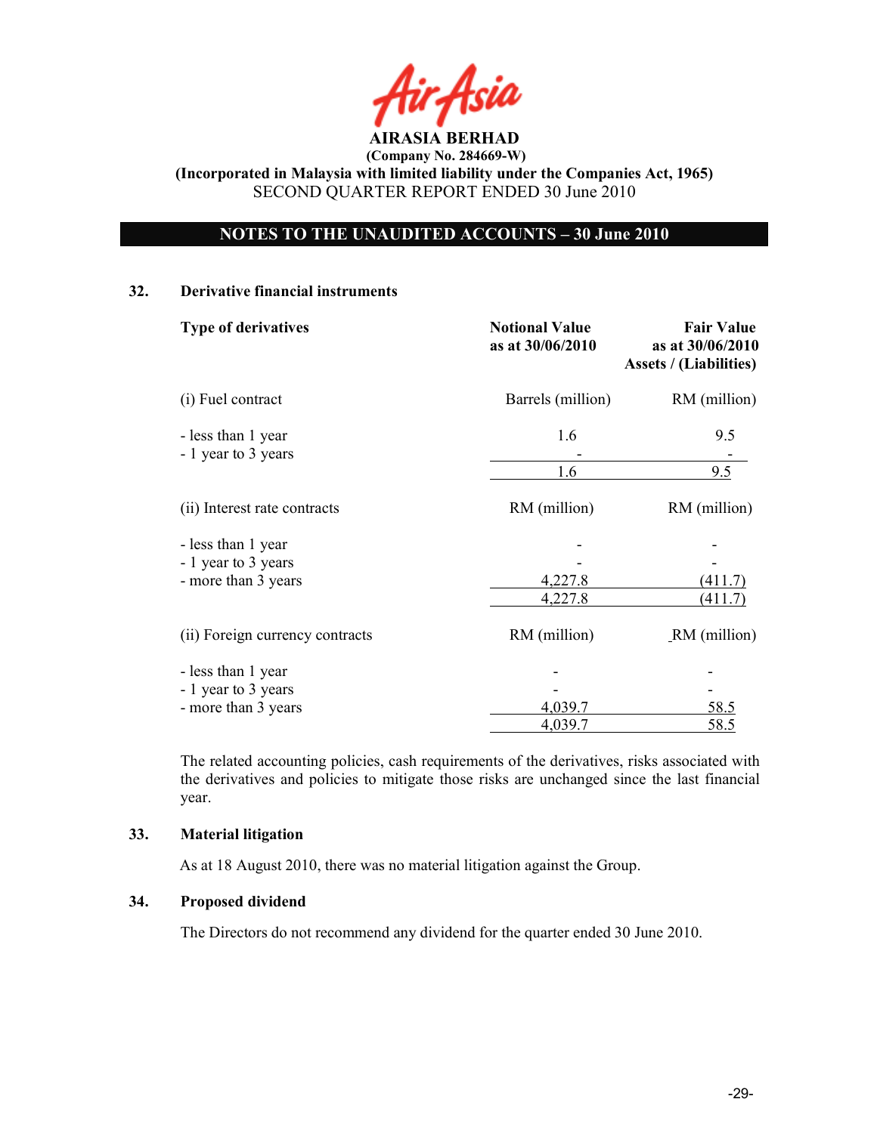

# OTES TO THE UAUDITED ACCOUTS – 30 June 2010

## 32. Derivative financial instruments

| <b>Type of derivatives</b>                | <b>Notional Value</b><br>as at 30/06/2010 | <b>Fair Value</b><br>as at 30/06/2010<br><b>Assets / (Liabilities)</b><br>RM (million) |  |
|-------------------------------------------|-------------------------------------------|----------------------------------------------------------------------------------------|--|
| (i) Fuel contract                         | Barrels (million)                         |                                                                                        |  |
| - less than 1 year<br>- 1 year to 3 years | 1.6                                       | 9.5                                                                                    |  |
|                                           | 1.6                                       | 9.5                                                                                    |  |
| (ii) Interest rate contracts              | RM (million)                              | RM (million)                                                                           |  |
| - less than 1 year                        |                                           |                                                                                        |  |
| - 1 year to 3 years                       |                                           |                                                                                        |  |
| - more than 3 years                       | 4,227.8                                   | 411                                                                                    |  |
|                                           | 4,227.8                                   | (411.7)                                                                                |  |
| (ii) Foreign currency contracts           | RM (million)                              | RM (million)                                                                           |  |
| - less than 1 year                        |                                           |                                                                                        |  |
| - 1 year to 3 years                       |                                           |                                                                                        |  |
| - more than 3 years                       | 4,039.7                                   | 58.5                                                                                   |  |
|                                           | 4,039.7                                   | 58.5                                                                                   |  |

The related accounting policies, cash requirements of the derivatives, risks associated with the derivatives and policies to mitigate those risks are unchanged since the last financial year.

## 33. Material litigation

As at 18 August 2010, there was no material litigation against the Group.

# 34. Proposed dividend

The Directors do not recommend any dividend for the quarter ended 30 June 2010.